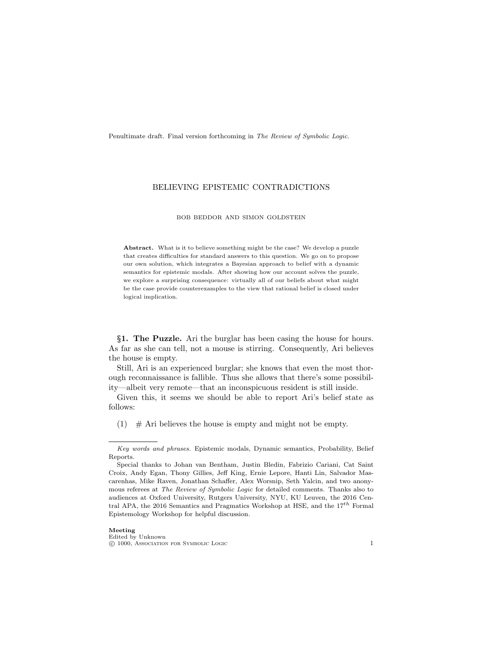Penultimate draft. Final version forthcoming in The Review of Symbolic Logic.

# BELIEVING EPISTEMIC CONTRADICTIONS

#### BOB BEDDOR AND SIMON GOLDSTEIN

Abstract. What is it to believe something might be the case? We develop a puzzle that creates difficulties for standard answers to this question. We go on to propose our own solution, which integrates a Bayesian approach to belief with a dynamic semantics for epistemic modals. After showing how our account solves the puzzle, we explore a surprising consequence: virtually all of our beliefs about what might be the case provide counterexamples to the view that rational belief is closed under logical implication.

§1. The Puzzle. Ari the burglar has been casing the house for hours. As far as she can tell, not a mouse is stirring. Consequently, Ari believes the house is empty.

Still, Ari is an experienced burglar; she knows that even the most thorough reconnaissance is fallible. Thus she allows that there's some possibility—albeit very remote—that an inconspicuous resident is still inside.

Given this, it seems we should be able to report Ari's belief state as follows:

<span id="page-0-0"></span>(1)  $\#$  Ari believes the house is empty and might not be empty.

Key words and phrases. Epistemic modals, Dynamic semantics, Probability, Belief Reports.

Special thanks to Johan van Bentham, Justin Bledin, Fabrizio Cariani, Cat Saint Croix, Andy Egan, Thony Gillies, Jeff King, Ernie Lepore, Hanti Lin, Salvador Mascarenhas, Mike Raven, Jonathan Schaffer, Alex Worsnip, Seth Yalcin, and two anonymous referees at *The Review of Symbolic Logic* for detailed comments. Thanks also to audiences at Oxford University, Rutgers University, NYU, KU Leuven, the 2016 Central APA, the 2016 Semantics and Pragmatics Workshop at HSE, and the  $17^{th}$  Formal Epistemology Workshop for helpful discussion.

c 1000, Association for Symbolic Logic 1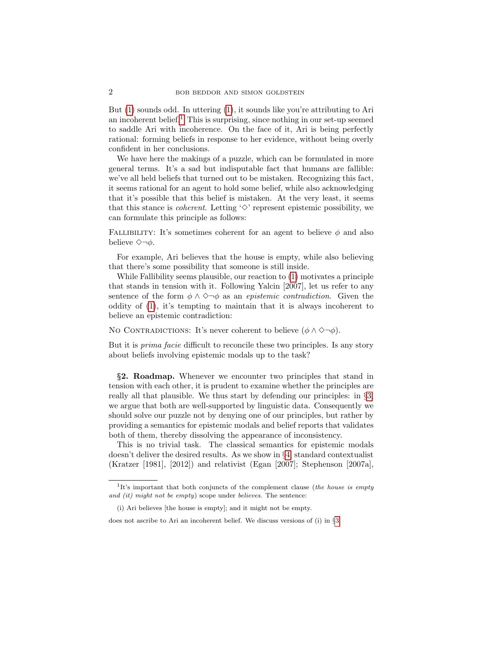But [\(1\)](#page-0-0) sounds odd. In uttering [\(1\)](#page-0-0), it sounds like you're attributing to Ari an incoherent belief.<sup>[1](#page-1-0)</sup> This is surprising, since nothing in our set-up seemed to saddle Ari with incoherence. On the face of it, Ari is being perfectly rational: forming beliefs in response to her evidence, without being overly confident in her conclusions.

We have here the makings of a puzzle, which can be formulated in more general terms. It's a sad but indisputable fact that humans are fallible: we've all held beliefs that turned out to be mistaken. Recognizing this fact, it seems rational for an agent to hold some belief, while also acknowledging that it's possible that this belief is mistaken. At the very least, it seems that this stance is *coherent*. Letting  $\Diamond$  represent epistemic possibility, we can formulate this principle as follows:

FALLIBILITY: It's sometimes coherent for an agent to believe  $\phi$  and also believe  $\Diamond \neg \phi$ .

For example, Ari believes that the house is empty, while also believing that there's some possibility that someone is still inside.

While Fallibility seems plausible, our reaction to [\(1\)](#page-0-0) motivates a principle that stands in tension with it. Following Yalcin [2007], let us refer to any sentence of the form  $\phi \wedge \Diamond \neg \phi$  as an *epistemic contradiction*. Given the oddity of [\(1\)](#page-0-0), it's tempting to maintain that it is always incoherent to believe an epistemic contradiction:

No CONTRADICTIONS: It's never coherent to believe  $(\phi \land \Diamond \neg \phi)$ .

But it is prima facie difficult to reconcile these two principles. Is any story about beliefs involving epistemic modals up to the task?

§2. Roadmap. Whenever we encounter two principles that stand in tension with each other, it is prudent to examine whether the principles are really all that plausible. We thus start by defending our principles: in §[3,](#page-2-0) we argue that both are well-supported by linguistic data. Consequently we should solve our puzzle not by denying one of our principles, but rather by providing a semantics for epistemic modals and belief reports that validates both of them, thereby dissolving the appearance of inconsistency.

This is no trivial task. The classical semantics for epistemic modals doesn't deliver the desired results. As we show in §[4,](#page-6-0) standard contextualist (Kratzer [1981], [2012]) and relativist (Egan [2007]; Stephenson [2007a],

<span id="page-1-0"></span><sup>&</sup>lt;sup>1</sup>It's important that both conjuncts of the complement clause (the house is empty and (it) might not be empty) scope under believes. The sentence:

<sup>(</sup>i) Ari believes [the house is empty]; and it might not be empty.

does not ascribe to Ari an incoherent belief. We discuss versions of (i) in §[3.](#page-2-0)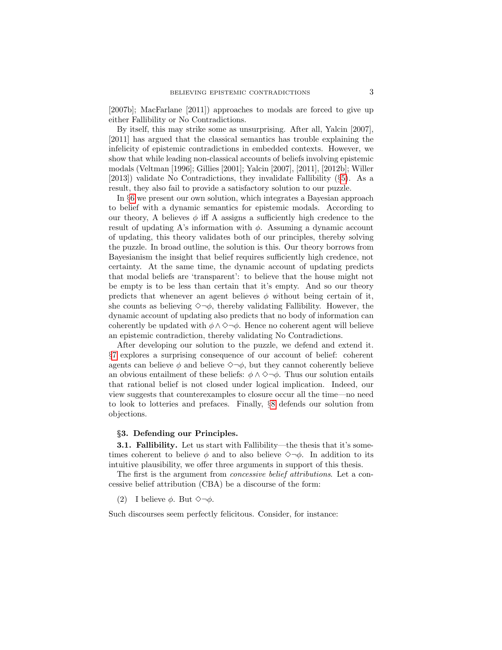[2007b]; MacFarlane [2011]) approaches to modals are forced to give up either Fallibility or No Contradictions.

By itself, this may strike some as unsurprising. After all, Yalcin [2007], [2011] has argued that the classical semantics has trouble explaining the infelicity of epistemic contradictions in embedded contexts. However, we show that while leading non-classical accounts of beliefs involving epistemic modals (Veltman [1996]; Gillies [2001]; Yalcin [2007], [2011], [2012b]; Willer [2013]) validate No Contradictions, they invalidate Fallibility (§[5\)](#page-10-0). As a result, they also fail to provide a satisfactory solution to our puzzle.

In §[6](#page-13-0) we present our own solution, which integrates a Bayesian approach to belief with a dynamic semantics for epistemic modals. According to our theory, A believes  $\phi$  iff A assigns a sufficiently high credence to the result of updating A's information with  $\phi$ . Assuming a dynamic account of updating, this theory validates both of our principles, thereby solving the puzzle. In broad outline, the solution is this. Our theory borrows from Bayesianism the insight that belief requires sufficiently high credence, not certainty. At the same time, the dynamic account of updating predicts that modal beliefs are 'transparent': to believe that the house might not be empty is to be less than certain that it's empty. And so our theory predicts that whenever an agent believes  $\phi$  without being certain of it, she counts as believing  $\Diamond \neg \phi$ , thereby validating Fallibility. However, the dynamic account of updating also predicts that no body of information can coherently be updated with  $\phi \land \Diamond \neg \phi$ . Hence no coherent agent will believe an epistemic contradiction, thereby validating No Contradictions.

After developing our solution to the puzzle, we defend and extend it. §[7](#page-18-0) explores a surprising consequence of our account of belief: coherent agents can believe  $\phi$  and believe  $\Diamond \neg \phi$ , but they cannot coherently believe an obvious entailment of these beliefs:  $\phi \wedge \Diamond \neg \phi$ . Thus our solution entails that rational belief is not closed under logical implication. Indeed, our view suggests that counterexamples to closure occur all the time—no need to look to lotteries and prefaces. Finally, §[8](#page-22-0) defends our solution from objections.

### <span id="page-2-0"></span>§3. Defending our Principles.

<span id="page-2-1"></span>3.1. Fallibility. Let us start with Fallibility—the thesis that it's sometimes coherent to believe  $\phi$  and to also believe  $\Diamond \neg \phi$ . In addition to its intuitive plausibility, we offer three arguments in support of this thesis.

The first is the argument from *concessive belief attributions*. Let a concessive belief attribution (CBA) be a discourse of the form:

## (2) I believe  $\phi$ . But  $\Diamond \neg \phi$ .

<span id="page-2-2"></span>Such discourses seem perfectly felicitous. Consider, for instance: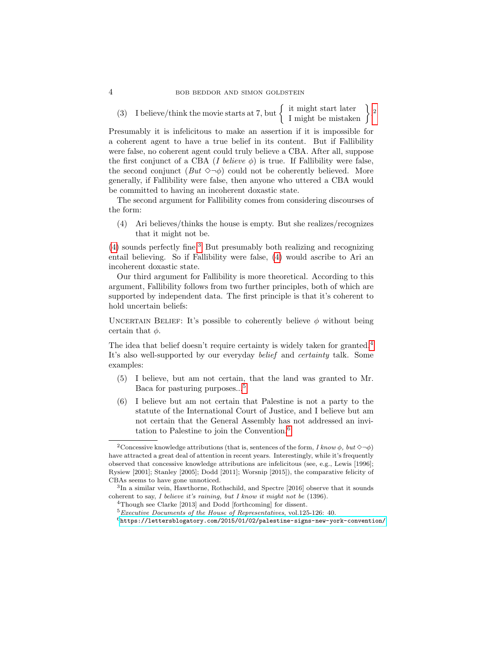(3) I believe/think the movie starts at 7, but  $\left\{\n \begin{array}{c}\n \text{it might start later} \\
\text{I might be mistaken}\n \end{array}\n\right\}$ .

Presumably it is infelicitous to make an assertion if it is impossible for a coherent agent to have a true belief in its content. But if Fallibility were false, no coherent agent could truly believe a CBA. After all, suppose the first conjunct of a CBA (I believe  $\phi$ ) is true. If Fallibility were false, the second conjunct  $(But \diamond \neg \phi)$  could not be coherently believed. More generally, if Fallibility were false, then anyone who uttered a CBA would be committed to having an incoherent doxastic state.

The second argument for Fallibility comes from considering discourses of the form:

<span id="page-3-1"></span>(4) Ari believes/thinks the house is empty. But she realizes/recognizes that it might not be.

[\(4\)](#page-3-1) sounds perfectly fine.[3](#page-3-2) But presumably both realizing and recognizing entail believing. So if Fallibility were false, [\(4\)](#page-3-1) would ascribe to Ari an incoherent doxastic state.

Our third argument for Fallibility is more theoretical. According to this argument, Fallibility follows from two further principles, both of which are supported by independent data. The first principle is that it's coherent to hold uncertain beliefs:

UNCERTAIN BELIEF: It's possible to coherently believe  $\phi$  without being certain that  $\phi$ .

The idea that belief doesn't require certainty is widely taken for granted.<sup>[4](#page-3-3)</sup> It's also well-supported by our everyday *belief* and *certainty* talk. Some examples:

- <span id="page-3-6"></span>(5) I believe, but am not certain, that the land was granted to Mr. Baca for pasturing purposes...[5](#page-3-4)
- <span id="page-3-7"></span>(6) I believe but am not certain that Palestine is not a party to the statute of the International Court of Justice, and I believe but am not certain that the General Assembly has not addressed an invitation to Palestine to join the Convention.[6](#page-3-5)

<span id="page-3-0"></span><sup>&</sup>lt;sup>2</sup>Concessive knowledge attributions (that is, sentences of the form,  $I$  know  $\phi$ , but  $\diamond\neg\phi$ ) have attracted a great deal of attention in recent years. Interestingly, while it's frequently observed that concessive knowledge attributions are infelicitous (see, e.g., Lewis [1996]; Rysiew [2001]; Stanley [2005]; Dodd [2011]; Worsnip [2015]), the comparative felicity of CBAs seems to have gone unnoticed.

<span id="page-3-2"></span><sup>3</sup> In a similar vein, Hawthorne, Rothschild, and Spectre [2016] observe that it sounds coherent to say, I believe it's raining, but I know it might not be  $(1396)$ .

<span id="page-3-3"></span><sup>4</sup>Though see Clarke [2013] and Dodd [forthcoming] for dissent.

<span id="page-3-4"></span> $5$  Executive Documents of the House of Representatives, vol.125-126: 40.

<span id="page-3-5"></span> $^6$ <https://lettersblogatory.com/2015/01/02/palestine-signs-new-york-convention/>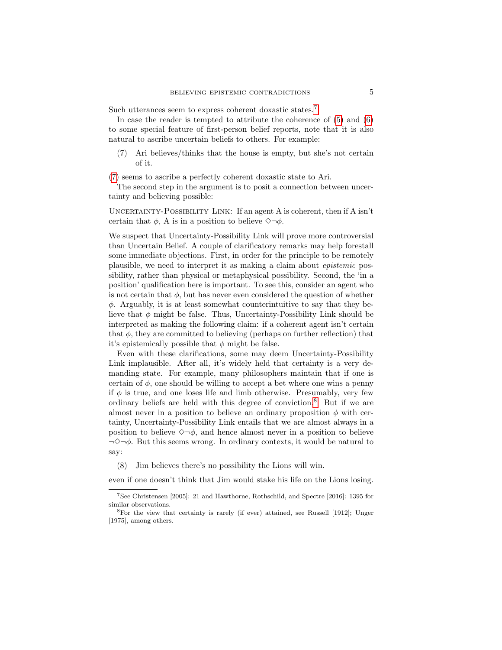Such utterances seem to express coherent doxastic states.<sup>[7](#page-4-0)</sup>

In case the reader is tempted to attribute the coherence of [\(5\)](#page-3-6) and [\(6\)](#page-3-7) to some special feature of first-person belief reports, note that it is also natural to ascribe uncertain beliefs to others. For example:

<span id="page-4-1"></span>(7) Ari believes/thinks that the house is empty, but she's not certain of it.

[\(7\)](#page-4-1) seems to ascribe a perfectly coherent doxastic state to Ari.

The second step in the argument is to posit a connection between uncertainty and believing possible:

UNCERTAINTY-POSSIBILITY LINK: If an agent A is coherent, then if A isn't certain that  $\phi$ , A is in a position to believe  $\Diamond \neg \phi$ .

We suspect that Uncertainty-Possibility Link will prove more controversial than Uncertain Belief. A couple of clarificatory remarks may help forestall some immediate objections. First, in order for the principle to be remotely plausible, we need to interpret it as making a claim about epistemic possibility, rather than physical or metaphysical possibility. Second, the 'in a position' qualification here is important. To see this, consider an agent who is not certain that  $\phi$ , but has never even considered the question of whether  $\phi$ . Arguably, it is at least somewhat counterintuitive to say that they believe that  $\phi$  might be false. Thus, Uncertainty-Possibility Link should be interpreted as making the following claim: if a coherent agent isn't certain that  $\phi$ , they are committed to believing (perhaps on further reflection) that it's epistemically possible that  $\phi$  might be false.

Even with these clarifications, some may deem Uncertainty-Possibility Link implausible. After all, it's widely held that certainty is a very demanding state. For example, many philosophers maintain that if one is certain of  $\phi$ , one should be willing to accept a bet where one wins a penny if  $\phi$  is true, and one loses life and limb otherwise. Presumably, very few ordinary beliefs are held with this degree of conviction.[8](#page-4-2) But if we are almost never in a position to believe an ordinary proposition  $\phi$  with certainty, Uncertainty-Possibility Link entails that we are almost always in a position to believe  $\Diamond \neg \phi$ , and hence almost never in a position to believe  $\neg \Diamond \neg \phi$ . But this seems wrong. In ordinary contexts, it would be natural to say:

(8) Jim believes there's no possibility the Lions will win.

even if one doesn't think that Jim would stake his life on the Lions losing.

<span id="page-4-0"></span><sup>7</sup>See Christensen [2005]: 21 and Hawthorne, Rothschild, and Spectre [2016]: 1395 for similar observations.

<span id="page-4-2"></span><sup>8</sup>For the view that certainty is rarely (if ever) attained, see Russell [1912]; Unger [1975], among others.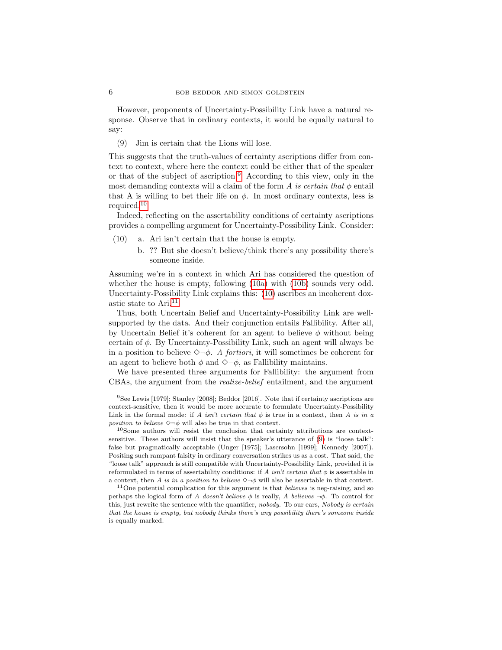However, proponents of Uncertainty-Possibility Link have a natural response. Observe that in ordinary contexts, it would be equally natural to say:

<span id="page-5-5"></span>(9) Jim is certain that the Lions will lose.

This suggests that the truth-values of certainty ascriptions differ from context to context, where here the context could be either that of the speaker or that of the subject of ascription.<sup>[9](#page-5-0)</sup> According to this view, only in the most demanding contexts will a claim of the form A is certain that  $\phi$  entail that A is willing to bet their life on  $\phi$ . In most ordinary contexts, less is required.<sup>[10](#page-5-1)</sup>

Indeed, reflecting on the assertability conditions of certainty ascriptions provides a compelling argument for Uncertainty-Possibility Link. Consider:

- <span id="page-5-3"></span><span id="page-5-2"></span>(10) a. Ari isn't certain that the house is empty.
	- b. ?? But she doesn't believe/think there's any possibility there's someone inside.

Assuming we're in a context in which Ari has considered the question of whether the house is empty, following  $(10a)$  with  $(10b)$  sounds very odd. Uncertainty-Possibility Link explains this: [\(10\)](#page-5-2) ascribes an incoherent doxastic state to Ari.[11](#page-5-4)

Thus, both Uncertain Belief and Uncertainty-Possibility Link are wellsupported by the data. And their conjunction entails Fallibility. After all, by Uncertain Belief it's coherent for an agent to believe  $\phi$  without being certain of  $\phi$ . By Uncertainty-Possibility Link, such an agent will always be in a position to believe  $\Diamond \neg \phi$ . A fortiori, it will sometimes be coherent for an agent to believe both  $\phi$  and  $\Diamond \neg \phi$ , as Fallibility maintains.

We have presented three arguments for Fallibility: the argument from CBAs, the argument from the realize-belief entailment, and the argument

<span id="page-5-0"></span><sup>9</sup>See Lewis [1979]; Stanley [2008]; Beddor [2016]. Note that if certainty ascriptions are context-sensitive, then it would be more accurate to formulate Uncertainty-Possibility Link in the formal mode: if A isn't certain that  $\phi$  is true in a context, then A is in a position to believe  $\Diamond \neg \phi$  will also be true in that context.

<span id="page-5-1"></span> $10$ Some authors will resist the conclusion that certainty attributions are contextsensitive. These authors will insist that the speaker's utterance of [\(9\)](#page-5-5) is "loose talk": false but pragmatically acceptable (Unger [1975]; Lasersohn [1999]; Kennedy [2007]). Positing such rampant falsity in ordinary conversation strikes us as a cost. That said, the "loose talk" approach is still compatible with Uncertainty-Possibility Link, provided it is reformulated in terms of assertability conditions: if A isn't certain that  $\phi$  is assertable in a context, then A is in a position to believe  $\Diamond \neg \phi$  will also be assertable in that context.

<span id="page-5-4"></span> $11$ One potential complication for this argument is that *believes* is neg-raising, and so perhaps the logical form of A doesn't believe  $\phi$  is really, A believes  $\neg \phi$ . To control for this, just rewrite the sentence with the quantifier, nobody. To our ears, Nobody is certain that the house is empty, but nobody thinks there's any possibility there's someone inside is equally marked.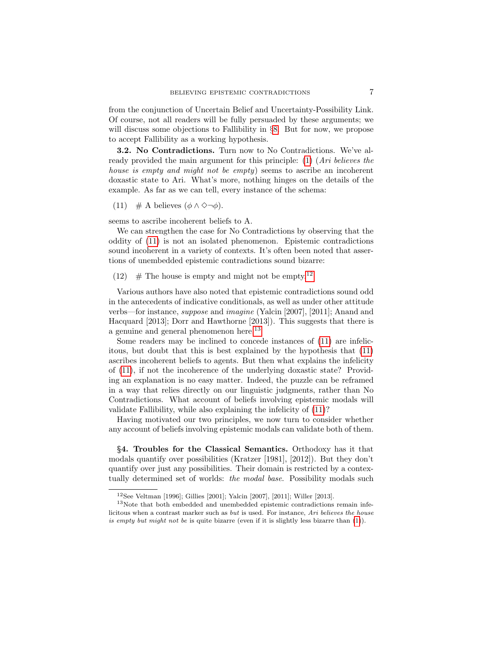from the conjunction of Uncertain Belief and Uncertainty-Possibility Link. Of course, not all readers will be fully persuaded by these arguments; we will discuss some objections to Fallibility in §[8.](#page-22-0) But for now, we propose to accept Fallibility as a working hypothesis.

3.2. No Contradictions. Turn now to No Contradictions. We've al-ready provided the main argument for this principle: [\(1\)](#page-0-0) (Ari believes the house is empty and might not be empty) seems to ascribe an incoherent doxastic state to Ari. What's more, nothing hinges on the details of the example. As far as we can tell, every instance of the schema:

<span id="page-6-1"></span>(11)  $\#$  A believes  $(\phi \land \Diamond \neg \phi)$ .

seems to ascribe incoherent beliefs to A.

We can strengthen the case for No Contradictions by observing that the oddity of [\(11\)](#page-6-1) is not an isolated phenomenon. Epistemic contradictions sound incoherent in a variety of contexts. It's often been noted that assertions of unembedded epistemic contradictions sound bizarre:

<span id="page-6-4"></span>([12](#page-6-2))  $\#$  The house is empty and might not be empty.<sup>12</sup>

Various authors have also noted that epistemic contradictions sound odd in the antecedents of indicative conditionals, as well as under other attitude verbs—for instance, suppose and imagine (Yalcin [2007], [2011]; Anand and Hacquard [2013]; Dorr and Hawthorne [2013]). This suggests that there is a genuine and general phenomenon here.<sup>[13](#page-6-3)</sup>

Some readers may be inclined to concede instances of [\(11\)](#page-6-1) are infelicitous, but doubt that this is best explained by the hypothesis that [\(11\)](#page-6-1) ascribes incoherent beliefs to agents. But then what explains the infelicity of [\(11\)](#page-6-1), if not the incoherence of the underlying doxastic state? Providing an explanation is no easy matter. Indeed, the puzzle can be reframed in a way that relies directly on our linguistic judgments, rather than No Contradictions. What account of beliefs involving epistemic modals will validate Fallibility, while also explaining the infelicity of [\(11\)](#page-6-1)?

Having motivated our two principles, we now turn to consider whether any account of beliefs involving epistemic modals can validate both of them.

<span id="page-6-0"></span>§4. Troubles for the Classical Semantics. Orthodoxy has it that modals quantify over possibilities (Kratzer [1981], [2012]). But they don't quantify over just any possibilities. Their domain is restricted by a contextually determined set of worlds: *the modal base*. Possibility modals such

<span id="page-6-3"></span><span id="page-6-2"></span><sup>12</sup>See Veltman [1996]; Gillies [2001]; Yalcin [2007], [2011]; Willer [2013].

<sup>13</sup>Note that both embedded and unembedded epistemic contradictions remain infelicitous when a contrast marker such as but is used. For instance, Ari believes the house is empty but might not be is quite bizarre (even if it is slightly less bizarre than [\(1\)](#page-0-0)).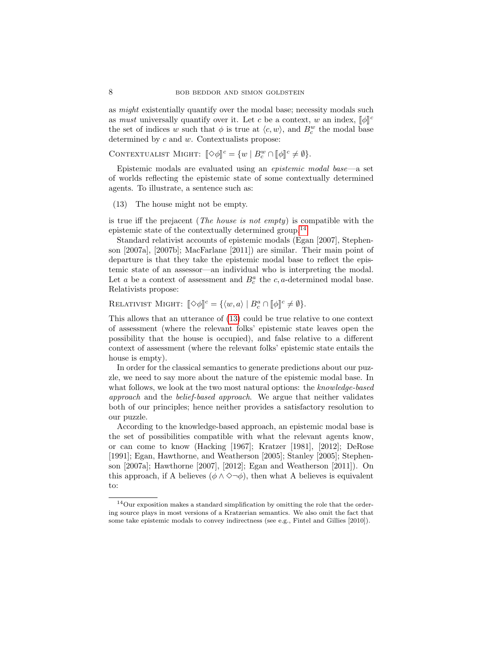as *might* existentially quantify over the modal base; necessity modals such as *must* universally quantify over it. Let c be a context, w an index,  $[\![\phi]\!]^c$ <br>the set of indices w such that  $\phi$  is true at  $\langle e, w \rangle$  and  $B^w$  the model bega the set of indices w such that  $\phi$  is true at  $\langle c, w \rangle$ , and  $B_c^w$  the modal base determined by  $c$  and  $w$ . Contextualists propose:

CONTEXTUALIST MIGHT:  $[\![\diamond \phi]\!]^c = \{w \mid B_c^w \cap [\![\phi]\!]^c \neq \emptyset\}.$ 

Epistemic modals are evaluated using an epistemic modal base—a set of worlds reflecting the epistemic state of some contextually determined agents. To illustrate, a sentence such as:

<span id="page-7-1"></span>(13) The house might not be empty.

is true iff the prejacent (The house is not empty) is compatible with the epistemic state of the contextually determined group.[14](#page-7-0)

Standard relativist accounts of epistemic modals (Egan [2007], Stephenson [2007a], [2007b]; MacFarlane [2011]) are similar. Their main point of departure is that they take the epistemic modal base to reflect the epistemic state of an assessor—an individual who is interpreting the modal. Let a be a context of assessment and  $B_c^a$  the  $c, a$ -determined modal base. Relativists propose:

RELATIVIST MIGHT:  $[\![\diamond \phi]\!]^c = \{ \langle w, a \rangle \mid B_c^a \cap [\![\phi]\!]^c \neq \emptyset \}.$ 

This allows that an utterance of [\(13\)](#page-7-1) could be true relative to one context of assessment (where the relevant folks' epistemic state leaves open the possibility that the house is occupied), and false relative to a different context of assessment (where the relevant folks' epistemic state entails the house is empty).

In order for the classical semantics to generate predictions about our puzzle, we need to say more about the nature of the epistemic modal base. In what follows, we look at the two most natural options: the knowledge-based approach and the belief-based approach. We argue that neither validates both of our principles; hence neither provides a satisfactory resolution to our puzzle.

According to the knowledge-based approach, an epistemic modal base is the set of possibilities compatible with what the relevant agents know, or can come to know (Hacking [1967]; Kratzer [1981], [2012]; DeRose [1991]; Egan, Hawthorne, and Weatherson [2005]; Stanley [2005]; Stephenson [2007a]; Hawthorne [2007], [2012]; Egan and Weatherson [2011]). On this approach, if A believes ( $\phi \land \Diamond \neg \phi$ ), then what A believes is equivalent to:

<span id="page-7-0"></span><sup>14</sup>Our exposition makes a standard simplification by omitting the role that the ordering source plays in most versions of a Kratzerian semantics. We also omit the fact that some take epistemic modals to convey indirectness (see e.g., Fintel and Gillies [2010]).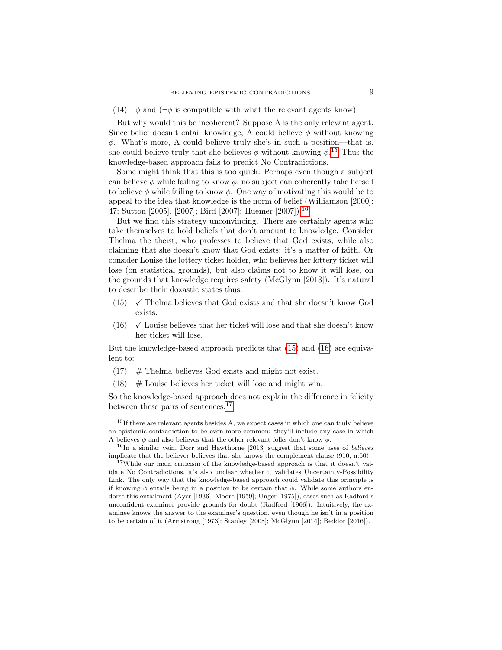(14)  $\phi$  and ( $\neg \phi$  is compatible with what the relevant agents know).

But why would this be incoherent? Suppose A is the only relevant agent. Since belief doesn't entail knowledge, A could believe  $\phi$  without knowing  $\phi$ . What's more, A could believe truly she's in such a position—that is, she could believe truly that she believes  $\phi$  without knowing  $\phi$ <sup>[15](#page-8-0)</sup>. Thus the knowledge-based approach fails to predict No Contradictions.

Some might think that this is too quick. Perhaps even though a subject can believe  $\phi$  while failing to know  $\phi$ , no subject can coherently take herself to believe  $\phi$  while failing to know  $\phi$ . One way of motivating this would be to appeal to the idea that knowledge is the norm of belief (Williamson [2000]: 47; Sutton [2005], [2007]; Bird [2007]; Huemer [2007]).[16](#page-8-1)

But we find this strategy unconvincing. There are certainly agents who take themselves to hold beliefs that don't amount to knowledge. Consider Thelma the theist, who professes to believe that God exists, while also claiming that she doesn't know that God exists: it's a matter of faith. Or consider Louise the lottery ticket holder, who believes her lottery ticket will lose (on statistical grounds), but also claims not to know it will lose, on the grounds that knowledge requires safety (McGlynn [2013]). It's natural to describe their doxastic states thus:

- <span id="page-8-2"></span> $(15)$   $\checkmark$  Thelma believes that God exists and that she doesn't know God exists.
- <span id="page-8-3"></span>(16)  $\checkmark$  Louise believes that her ticket will lose and that she doesn't know her ticket will lose.

But the knowledge-based approach predicts that [\(15\)](#page-8-2) and [\(16\)](#page-8-3) are equivalent to:

- <span id="page-8-5"></span> $(17)$  # Thelma believes God exists and might not exist.
- <span id="page-8-6"></span>(18)  $\#$  Louise believes her ticket will lose and might win.

So the knowledge-based approach does not explain the difference in felicity between these pairs of sentences.<sup>[17](#page-8-4)</sup>

<span id="page-8-0"></span><sup>&</sup>lt;sup>15</sup>If there are relevant agents besides A, we expect cases in which one can truly believe an epistemic contradiction to be even more common: they'll include any case in which A believes  $\phi$  and also believes that the other relevant folks don't know  $\phi$ .

<span id="page-8-1"></span> $16$ In a similar vein, Dorr and Hawthorne [2013] suggest that some uses of *believes* implicate that the believer believes that she knows the complement clause (910, n.60).

<span id="page-8-4"></span><sup>&</sup>lt;sup>17</sup>While our main criticism of the knowledge-based approach is that it doesn't validate No Contradictions, it's also unclear whether it validates Uncertainty-Possibility Link. The only way that the knowledge-based approach could validate this principle is if knowing  $\phi$  entails being in a position to be certain that  $\phi$ . While some authors endorse this entailment (Ayer [1936]; Moore [1959]; Unger [1975]), cases such as Radford's unconfident examinee provide grounds for doubt (Radford [1966]). Intuitively, the examinee knows the answer to the examiner's question, even though he isn't in a position to be certain of it (Armstrong [1973]; Stanley [2008]; McGlynn [2014]; Beddor [2016]).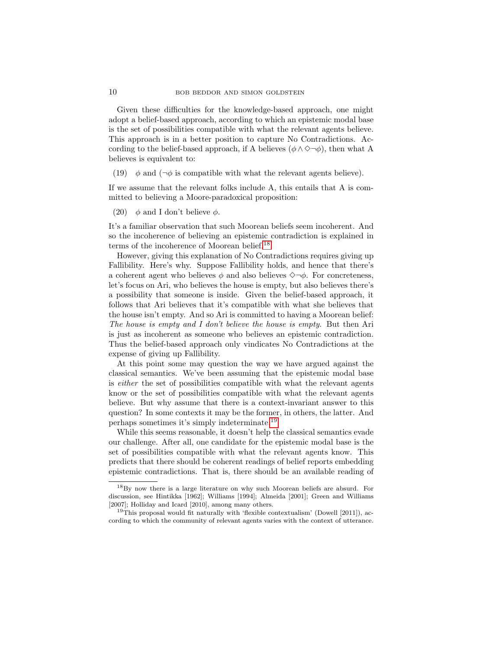Given these difficulties for the knowledge-based approach, one might adopt a belief-based approach, according to which an epistemic modal base is the set of possibilities compatible with what the relevant agents believe. This approach is in a better position to capture No Contradictions. According to the belief-based approach, if A believes ( $\phi \land \Diamond \neg \phi$ ), then what A believes is equivalent to:

(19)  $\phi$  and ( $\neg \phi$  is compatible with what the relevant agents believe).

If we assume that the relevant folks include A, this entails that A is committed to believing a Moore-paradoxical proposition:

(20)  $\phi$  and I don't believe  $\phi$ .

It's a familiar observation that such Moorean beliefs seem incoherent. And so the incoherence of believing an epistemic contradiction is explained in terms of the incoherence of Moorean belief.<sup>[18](#page-9-0)</sup>

However, giving this explanation of No Contradictions requires giving up Fallibility. Here's why. Suppose Fallibility holds, and hence that there's a coherent agent who believes  $\phi$  and also believes  $\Diamond \neg \phi$ . For concreteness, let's focus on Ari, who believes the house is empty, but also believes there's a possibility that someone is inside. Given the belief-based approach, it follows that Ari believes that it's compatible with what she believes that the house isn't empty. And so Ari is committed to having a Moorean belief: The house is empty and I don't believe the house is empty. But then Ari is just as incoherent as someone who believes an epistemic contradiction. Thus the belief-based approach only vindicates No Contradictions at the expense of giving up Fallibility.

At this point some may question the way we have argued against the classical semantics. We've been assuming that the epistemic modal base is either the set of possibilities compatible with what the relevant agents know or the set of possibilities compatible with what the relevant agents believe. But why assume that there is a context-invariant answer to this question? In some contexts it may be the former, in others, the latter. And perhaps sometimes it's simply indeterminate.[19](#page-9-1)

While this seems reasonable, it doesn't help the classical semantics evade our challenge. After all, one candidate for the epistemic modal base is the set of possibilities compatible with what the relevant agents know. This predicts that there should be coherent readings of belief reports embedding epistemic contradictions. That is, there should be an available reading of

<span id="page-9-0"></span><sup>18</sup>By now there is a large literature on why such Moorean beliefs are absurd. For discussion, see Hintikka [1962]; Williams [1994]; Almeida [2001]; Green and Williams [2007]; Holliday and Icard [2010], among many others.

<span id="page-9-1"></span><sup>&</sup>lt;sup>19</sup>This proposal would fit naturally with 'flexible contextualism' (Dowell [2011]), according to which the community of relevant agents varies with the context of utterance.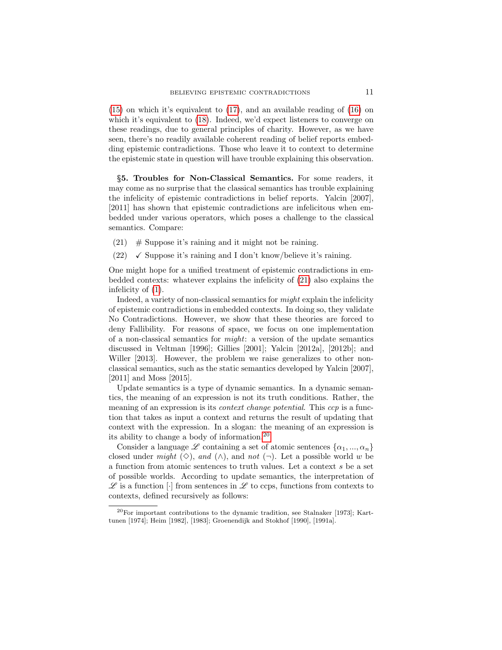[\(15\)](#page-8-2) on which it's equivalent to [\(17\)](#page-8-5), and an available reading of [\(16\)](#page-8-3) on which it's equivalent to [\(18\)](#page-8-6). Indeed, we'd expect listeners to converge on these readings, due to general principles of charity. However, as we have seen, there's no readily available coherent reading of belief reports embedding epistemic contradictions. Those who leave it to context to determine the epistemic state in question will have trouble explaining this observation.

<span id="page-10-0"></span>§5. Troubles for Non-Classical Semantics. For some readers, it may come as no surprise that the classical semantics has trouble explaining the infelicity of epistemic contradictions in belief reports. Yalcin [2007], [2011] has shown that epistemic contradictions are infelicitous when embedded under various operators, which poses a challenge to the classical semantics. Compare:

- <span id="page-10-1"></span>(21)  $\#$  Suppose it's raining and it might not be raining.
- $(22)$   $\checkmark$  Suppose it's raining and I don't know/believe it's raining.

One might hope for a unified treatment of epistemic contradictions in embedded contexts: whatever explains the infelicity of [\(21\)](#page-10-1) also explains the infelicity of [\(1\)](#page-0-0).

Indeed, a variety of non-classical semantics for might explain the infelicity of epistemic contradictions in embedded contexts. In doing so, they validate No Contradictions. However, we show that these theories are forced to deny Fallibility. For reasons of space, we focus on one implementation of a non-classical semantics for  $might$ : a version of the update semantics discussed in Veltman [1996]; Gillies [2001]; Yalcin [2012a], [2012b]; and Willer [2013]. However, the problem we raise generalizes to other nonclassical semantics, such as the static semantics developed by Yalcin [2007], [2011] and Moss [2015].

Update semantics is a type of dynamic semantics. In a dynamic semantics, the meaning of an expression is not its truth conditions. Rather, the meaning of an expression is its *context change potential*. This *ccp* is a function that takes as input a context and returns the result of updating that context with the expression. In a slogan: the meaning of an expression is its ability to change a body of information.[20](#page-10-2)

Consider a language  $\mathscr L$  containing a set of atomic sentences  $\{\alpha_1, ..., \alpha_n\}$ closed under might  $(\diamond)$ , and  $(\wedge)$ , and not  $(\neg)$ . Let a possible world w be a function from atomic sentences to truth values. Let a context s be a set of possible worlds. According to update semantics, the interpretation of  $\mathscr L$  is a function  $\lceil \cdot \rceil$  from sentences in  $\mathscr L$  to ccps, functions from contexts to contexts, defined recursively as follows:

<span id="page-10-2"></span> $^{20}$ For important contributions to the dynamic tradition, see Stalnaker [1973]; Karttunen [1974]; Heim [1982], [1983]; Groenendijk and Stokhof [1990], [1991a].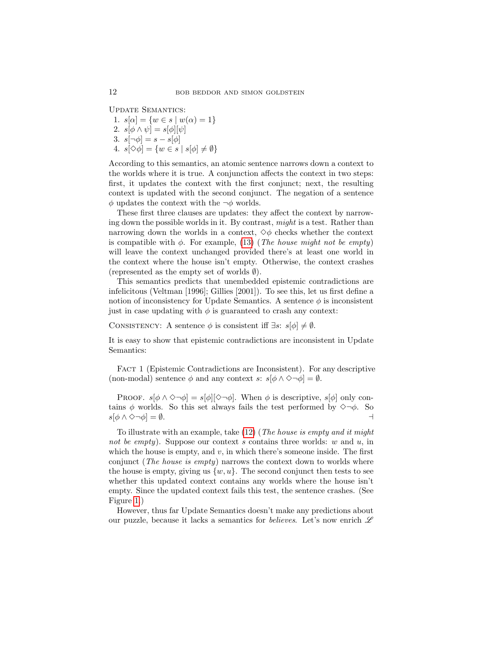Update Semantics:

1.  $s[\alpha] = \{w \in s \mid w(\alpha) = 1\}$ 2.  $s[\phi \wedge \psi] = s[\phi][\psi]$ 3.  $s[\neg \phi] = s - s[\phi]$ 4.  $s[\diamond \phi] = \{w \in s \mid s[\phi] \neq \emptyset\}$ 

According to this semantics, an atomic sentence narrows down a context to the worlds where it is true. A conjunction affects the context in two steps: first, it updates the context with the first conjunct; next, the resulting context is updated with the second conjunct. The negation of a sentence  $\phi$  updates the context with the  $\neg \phi$  worlds.

These first three clauses are updates: they affect the context by narrowing down the possible worlds in it. By contrast, might is a test. Rather than narrowing down the worlds in a context,  $\diamond \phi$  checks whether the context is compatible with  $\phi$ . For example, [\(13\)](#page-7-1) (The house might not be empty) will leave the context unchanged provided there's at least one world in the context where the house isn't empty. Otherwise, the context crashes (represented as the empty set of worlds  $\emptyset$ ).

This semantics predicts that unembedded epistemic contradictions are infelicitous (Veltman [1996]; Gillies [2001]). To see this, let us first define a notion of inconsistency for Update Semantics. A sentence  $\phi$  is inconsistent just in case updating with  $\phi$  is guaranteed to crash any context:

CONSISTENCY: A sentence  $\phi$  is consistent iff  $\exists s: s[\phi] \neq \emptyset$ .

It is easy to show that epistemic contradictions are inconsistent in Update Semantics:

FACT 1 (Epistemic Contradictions are Inconsistent). For any descriptive (non-modal) sentence  $\phi$  and any context s:  $s[\phi \land \Diamond \neg \phi] = \emptyset$ .

PROOF.  $s[\phi \wedge \Diamond \neg \phi] = s[\phi][\Diamond \neg \phi]$ . When  $\phi$  is descriptive,  $s[\phi]$  only contains  $\phi$  worlds. So this set always fails the test performed by  $\Diamond \neg \phi$ . So  $s[\phi \wedge \Diamond \neg \phi] = \emptyset.$ 

To illustrate with an example, take [\(12\)](#page-6-4) (The house is empty and it might not be empty). Suppose our context s contains three worlds: w and u, in which the house is empty, and  $v$ , in which there's someone inside. The first conjunct (*The house is empty*) narrows the context down to worlds where the house is empty, giving us  $\{w, u\}$ . The second conjunct then tests to see whether this updated context contains any worlds where the house isn't empty. Since the updated context fails this test, the sentence crashes. (See Figure [1.](#page-12-0))

However, thus far Update Semantics doesn't make any predictions about our puzzle, because it lacks a semantics for *believes*. Let's now enrich  $\mathscr L$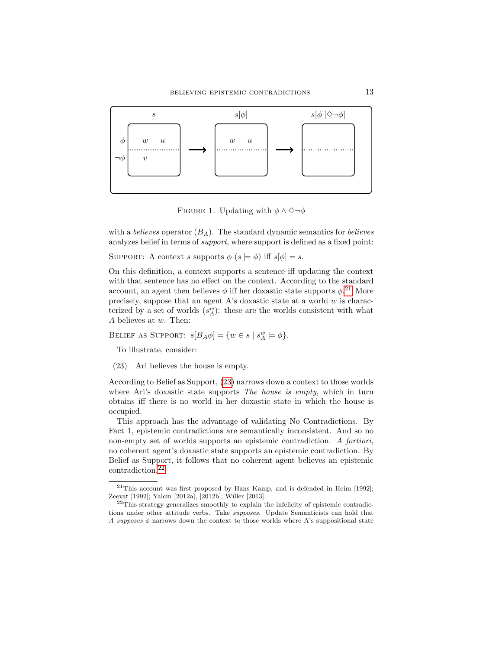

<span id="page-12-0"></span>FIGURE 1. Updating with  $\phi \wedge \Diamond \neg \phi$ 

with a *believes* operator  $(B_A)$ . The standard dynamic semantics for *believes* analyzes belief in terms of support, where support is defined as a fixed point:

SUPPORT: A context s supports  $\phi$   $(s \models \phi)$  iff  $s[\phi] = s$ .

On this definition, a context supports a sentence iff updating the context with that sentence has no effect on the context. According to the standard account, an agent then believes  $\phi$  iff her doxastic state supports  $\phi$ <sup>[21](#page-12-1)</sup> More precisely, suppose that an agent A's doxastic state at a world  $w$  is characterized by a set of worlds  $(s_A^w)$ : these are the worlds consistent with what A believes at w. Then:

BELIEF AS SUPPORT:  $s[B_A \phi] = \{w \in s \mid s_A^w \models \phi\}.$ 

To illustrate, consider:

<span id="page-12-2"></span>(23) Ari believes the house is empty.

According to Belief as Support, [\(23\)](#page-12-2) narrows down a context to those worlds where Ari's doxastic state supports *The house is empty*, which in turn obtains iff there is no world in her doxastic state in which the house is occupied.

This approach has the advantage of validating No Contradictions. By Fact 1, epistemic contradictions are semantically inconsistent. And so no non-empty set of worlds supports an epistemic contradiction. A fortiori, no coherent agent's doxastic state supports an epistemic contradiction. By Belief as Support, it follows that no coherent agent believes an epistemic contradiction.[22](#page-12-3)

<span id="page-12-1"></span> $21$ This account was first proposed by Hans Kamp, and is defended in Heim [1992]; Zeevat [1992]; Yalcin [2012a], [2012b]; Willer [2013].

<span id="page-12-3"></span><sup>22</sup>This strategy generalizes smoothly to explain the infelicity of epistemic contradictions under other attitude verbs. Take *supposes*. Update Semanticists can hold that A supposes  $\phi$  narrows down the context to those worlds where A's suppositional state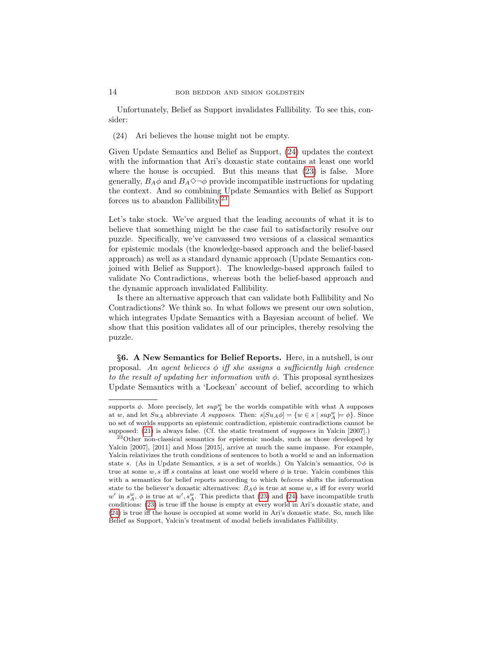Unfortunately, Belief as Support invalidates Fallibility. To see this, consider:

<span id="page-13-1"></span>(24) Ari believes the house might not be empty.

Given Update Semantics and Belief as Support, [\(24\)](#page-13-1) updates the context with the information that Ari's doxastic state contains at least one world where the house is occupied. But this means that [\(23\)](#page-12-2) is false. More generally,  $B_A\phi$  and  $B_A\diamondsuit\neg\phi$  provide incompatible instructions for updating the context. And so combining Update Semantics with Belief as Support forces us to abandon Fallibility.<sup>[23](#page-13-2)</sup>

Let's take stock. We've argued that the leading accounts of what it is to believe that something might be the case fail to satisfactorily resolve our puzzle. Specifically, we've canvassed two versions of a classical semantics for epistemic modals (the knowledge-based approach and the belief-based approach) as well as a standard dynamic approach (Update Semantics conjoined with Belief as Support). The knowledge-based approach failed to validate No Contradictions, whereas both the belief-based approach and the dynamic approach invalidated Fallibility.

Is there an alternative approach that can validate both Fallibility and No Contradictions? We think so. In what follows we present our own solution, which integrates Update Semantics with a Bayesian account of belief. We show that this position validates all of our principles, thereby resolving the puzzle.

<span id="page-13-0"></span>§6. A New Semantics for Belief Reports. Here, in a nutshell, is our proposal. An agent believes  $\phi$  iff she assigns a sufficiently high credence to the result of updating her information with  $\phi$ . This proposal synthesizes Update Semantics with a 'Lockean' account of belief, according to which

supports  $\phi$ . More precisely, let  $sup_{A}^{w}$  be the worlds compatible with what A supposes at w, and let  $Su_A$  abbreviate A supposes. Then:  $s[Su_A\phi] = \{w \in s \mid \sup_A^w \models \phi\}$ . Since no set of worlds supports an epistemic contradiction, epistemic contradictions cannot be supposed: [\(21\)](#page-10-1) is always false. (Cf. the static treatment of *supposes* in Yalcin [2007].)

<span id="page-13-2"></span><sup>&</sup>lt;sup>23</sup>Other non-classical semantics for epistemic modals, such as those developed by Yalcin [2007], [2011] and Moss [2015], arrive at much the same impasse. For example, Yalcin relativizes the truth conditions of sentences to both a world  $w$  and an information state s. (As in Update Semantics, s is a set of worlds.) On Yalcin's semantics,  $\diamond \phi$  is true at some w, s iff s contains at least one world where  $\phi$  is true. Yalcin combines this with a semantics for belief reports according to which believes shifts the information state to the believer's doxastic alternatives:  $B_A \phi$  is true at some w, s iff for every world  $w'$  in  $s_A^w$ ,  $\phi$  is true at  $w'$ ,  $s_A^w$ . This predicts that [\(23\)](#page-12-2) and [\(24\)](#page-13-1) have incompatible truth conditions: [\(23\)](#page-12-2) is true iff the house is empty at every world in Ari's doxastic state, and [\(24\)](#page-13-1) is true iff the house is occupied at some world in Ari's doxastic state. So, much like Belief as Support, Yalcin's treatment of modal beliefs invalidates Fallibility.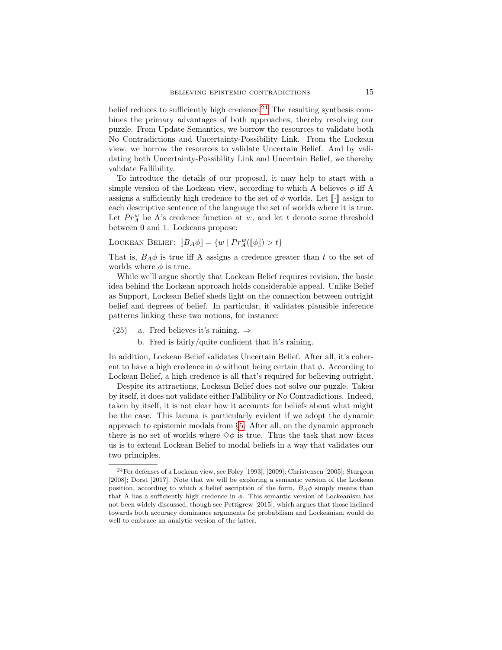belief reduces to sufficiently high credence.<sup>[24](#page-14-0)</sup> The resulting synthesis combines the primary advantages of both approaches, thereby resolving our puzzle. From Update Semantics, we borrow the resources to validate both No Contradictions and Uncertainty-Possibility Link. From the Lockean view, we borrow the resources to validate Uncertain Belief. And by validating both Uncertainty-Possibility Link and Uncertain Belief, we thereby validate Fallibility.

To introduce the details of our proposal, it may help to start with a simple version of the Lockean view, according to which A believes  $\phi$  iff A assigns a sufficiently high credence to the set of  $\phi$  worlds. Let  $\llbracket \cdot \rrbracket$  assign to each descriptive sentence of the language the set of worlds where it is true. Let  $Pr_{A}^{w}$  be A's credence function at w, and let t denote some threshold between 0 and 1. Lockeans propose:

LOCKEAN BELIEF:  $[[B_A \phi]] = \{w \mid Pr_A^w([\phi]]) > t\}$ 

That is,  $B_A \phi$  is true iff A assigns a credence greater than t to the set of worlds where  $\phi$  is true.

While we'll argue shortly that Lockean Belief requires revision, the basic idea behind the Lockean approach holds considerable appeal. Unlike Belief as Support, Lockean Belief sheds light on the connection between outright belief and degrees of belief. In particular, it validates plausible inference patterns linking these two notions, for instance:

- (25) a. Fred believes it's raining.  $\Rightarrow$ 
	- b. Fred is fairly/quite confident that it's raining.

In addition, Lockean Belief validates Uncertain Belief. After all, it's coherent to have a high credence in  $\phi$  without being certain that  $\phi$ . According to Lockean Belief, a high credence is all that's required for believing outright.

Despite its attractions, Lockean Belief does not solve our puzzle. Taken by itself, it does not validate either Fallibility or No Contradictions. Indeed, taken by itself, it is not clear how it accounts for beliefs about what might be the case. This lacuna is particularly evident if we adopt the dynamic approach to epistemic modals from §[5.](#page-10-0) After all, on the dynamic approach there is no set of worlds where  $\diamondsuit\phi$  is true. Thus the task that now faces us is to extend Lockean Belief to modal beliefs in a way that validates our two principles.

<span id="page-14-0"></span> $^{24}\rm{For}$  defenses of a Lockean view, see Foley [1993], [2009]; Christensen [2005]; Sturgeon [2008]; Dorst [2017]. Note that we will be exploring a semantic version of the Lockean position, according to which a belief ascription of the form,  $B_A\phi$  simply means than that A has a sufficiently high credence in  $\phi$ . This semantic version of Lockeanism has not been widely discussed, though see Pettigrew [2015], which argues that those inclined towards both accuracy dominance arguments for probabilism and Lockeanism would do well to embrace an analytic version of the latter.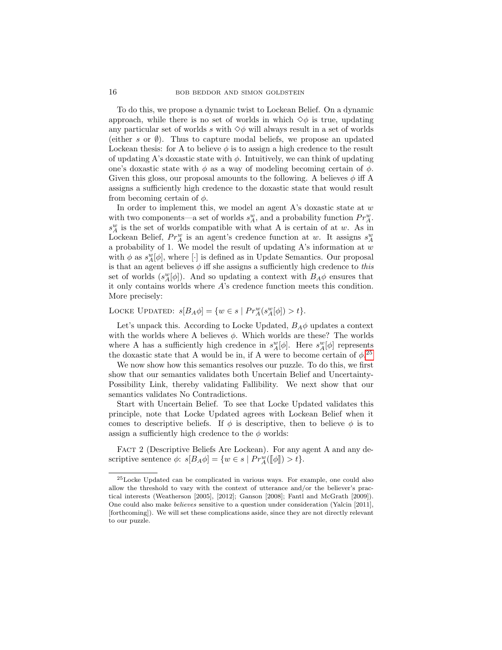To do this, we propose a dynamic twist to Lockean Belief. On a dynamic approach, while there is no set of worlds in which  $\diamondsuit \phi$  is true, updating any particular set of worlds s with  $\diamondsuit \phi$  will always result in a set of worlds (either s or  $\emptyset$ ). Thus to capture modal beliefs, we propose an updated Lockean thesis: for A to believe  $\phi$  is to assign a high credence to the result of updating A's doxastic state with  $\phi$ . Intuitively, we can think of updating one's doxastic state with  $\phi$  as a way of modeling becoming certain of  $\phi$ . Given this gloss, our proposal amounts to the following. A believes  $\phi$  iff A assigns a sufficiently high credence to the doxastic state that would result from becoming certain of  $\phi$ .

In order to implement this, we model an agent  $A$ 's doxastic state at  $w$ with two components—a set of worlds  $s_A^w$ , and a probability function  $Pr_A^w$ .  $s_A^w$  is the set of worlds compatible with what A is certain of at w. As in Lockean Belief,  $Pr_A^w$  is an agent's credence function at w. It assigns  $s_A^w$ a probability of 1. We model the result of updating  $A$ 's information at  $w$ with  $\phi$  as  $s_A^w[\phi]$ , where [·] is defined as in Update Semantics. Our proposal is that an agent believes  $\phi$  iff she assigns a sufficiently high credence to this set of worlds  $(s_A^w[\phi])$ . And so updating a context with  $B_A\phi$  ensures that it only contains worlds where A's credence function meets this condition. More precisely:

LOCKE UPDATED:  $s[B_A \phi] = \{w \in s \mid Pr_A^w(s_A^w[\phi]) > t\}.$ 

Let's unpack this. According to Locke Updated,  $B_A\phi$  updates a context with the worlds where A believes  $\phi$ . Which worlds are these? The worlds where A has a sufficiently high credence in  $s_A^w[\phi]$ . Here  $s_A^w[\phi]$  represents the doxastic state that A would be in, if A were to become certain of  $\phi$ <sup>[25](#page-15-0)</sup>

We now show how this semantics resolves our puzzle. To do this, we first show that our semantics validates both Uncertain Belief and Uncertainty-Possibility Link, thereby validating Fallibility. We next show that our semantics validates No Contradictions.

Start with Uncertain Belief. To see that Locke Updated validates this principle, note that Locke Updated agrees with Lockean Belief when it comes to descriptive beliefs. If  $\phi$  is descriptive, then to believe  $\phi$  is to assign a sufficiently high credence to the  $\phi$  worlds:

FACT 2 (Descriptive Beliefs Are Lockean). For any agent A and any descriptive sentence  $\phi$ :  $s[B_A \phi] = \{w \in s \mid Pr_A^w([\![\phi]\!]) > t\}.$ 

<span id="page-15-0"></span><sup>25</sup>Locke Updated can be complicated in various ways. For example, one could also allow the threshold to vary with the context of utterance and/or the believer's practical interests (Weatherson [2005], [2012]; Ganson [2008]; Fantl and McGrath [2009]). One could also make believes sensitive to a question under consideration (Yalcin [2011], [forthcoming]). We will set these complications aside, since they are not directly relevant to our puzzle.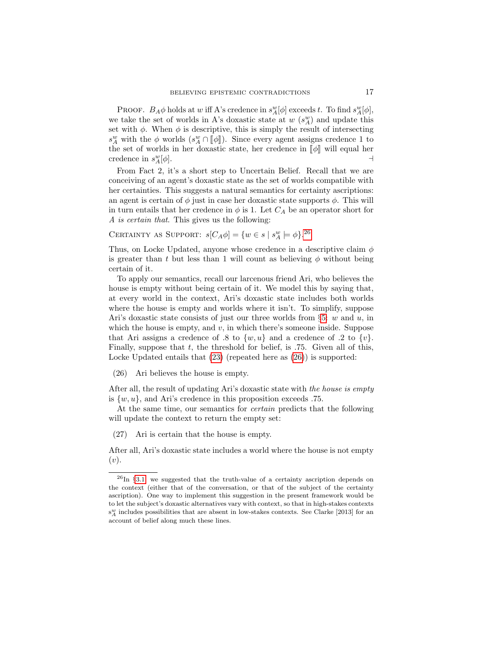PROOF.  $B_A \phi$  holds at w iff A's credence in  $s_A^w[\phi]$  exceeds t. To find  $s_A^w[\phi]$ , we take the set of worlds in A's doxastic state at  $w(s_A^w)$  and update this set with  $\phi$ . When  $\phi$  is descriptive, this is simply the result of intersecting  $s_A^w$  with the  $\phi$  worlds  $(s_A^w \cap [\![\phi]\!])$ . Since every agent assigns credence 1 to the set of worlds in her devertie state, her eredones in  $[\![\phi]\!]$  will cause her the set of worlds in her doxastic state, her credence in  $\llbracket \phi \rrbracket$  will equal her credence in  $s^w_x[\phi]$ . credence in  $s_A^w$  $A^w_A[\phi]$ .

From Fact 2, it's a short step to Uncertain Belief. Recall that we are conceiving of an agent's doxastic state as the set of worlds compatible with her certainties. This suggests a natural semantics for certainty ascriptions: an agent is certain of  $\phi$  just in case her doxastic state supports  $\phi$ . This will in turn entails that her credence in  $\phi$  is 1. Let  $C_A$  be an operator short for A is certain that. This gives us the following:

CERTAINTY AS SUPPORT:  $s[C_A \phi] = \{w \in s \mid s_A^w \models \phi\}.^{26}$  $s[C_A \phi] = \{w \in s \mid s_A^w \models \phi\}.^{26}$  $s[C_A \phi] = \{w \in s \mid s_A^w \models \phi\}.^{26}$ 

Thus, on Locke Updated, anyone whose credence in a descriptive claim  $\phi$ is greater than t but less than 1 will count as believing  $\phi$  without being certain of it.

To apply our semantics, recall our larcenous friend Ari, who believes the house is empty without being certain of it. We model this by saying that, at every world in the context, Ari's doxastic state includes both worlds where the house is empty and worlds where it isn't. To simplify, suppose Ari's doxastic state consists of just our three worlds from  $\S5: w$  $\S5: w$  $\S5: w$  and u, in which the house is empty, and  $v$ , in which there's someone inside. Suppose that Ari assigns a credence of .8 to  $\{w, u\}$  and a credence of .2 to  $\{v\}$ . Finally, suppose that  $t$ , the threshold for belief, is .75. Given all of this, Locke Updated entails that  $(23)$  (repeated here as  $(26)$ ) is supported:

<span id="page-16-1"></span>(26) Ari believes the house is empty.

After all, the result of updating Ari's doxastic state with the house is empty is  $\{w, u\}$ , and Ari's credence in this proposition exceeds .75.

At the same time, our semantics for certain predicts that the following will update the context to return the empty set:

(27) Ari is certain that the house is empty.

After all, Ari's doxastic state includes a world where the house is not empty  $(v).$ 

<span id="page-16-0"></span> $^{26}$ In §[3.1,](#page-2-1) we suggested that the truth-value of a certainty ascription depends on the context (either that of the conversation, or that of the subject of the certainty ascription). One way to implement this suggestion in the present framework would be to let the subject's doxastic alternatives vary with context, so that in high-stakes contexts  $\mathbf{s}_A^w$  includes possibilities that are absent in low-stakes contexts. See Clarke [2013] for an account of belief along much these lines.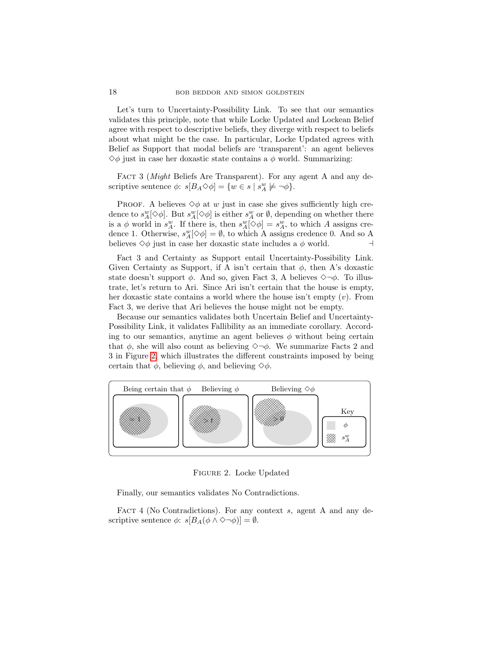Let's turn to Uncertainty-Possibility Link. To see that our semantics validates this principle, note that while Locke Updated and Lockean Belief agree with respect to descriptive beliefs, they diverge with respect to beliefs about what might be the case. In particular, Locke Updated agrees with Belief as Support that modal beliefs are 'transparent': an agent believes  $\diamondsuit$ φ just in case her doxastic state contains a φ world. Summarizing:

FACT 3 (*Might* Beliefs Are Transparent). For any agent A and any descriptive sentence  $\phi$ :  $s[B_A \Diamond \phi] = \{w \in s \mid s_A^w \not\models \neg \phi\}.$ 

PROOF. A believes  $\diamondsuit \phi$  at w just in case she gives sufficiently high credence to  $s_A^w[\diamond \phi]$ . But  $s_A^w[\diamond \phi]$  is either  $s_A^w$  or  $\emptyset$ , depending on whether there is a  $\phi$  world in  $s_A^w$ . If there is, then  $s_A^w[\diamondsuit \phi] = s_A^w$ , to which A assigns credence 1. Otherwise,  $s_A^w[\diamond \phi] = \emptyset$ , to which A assigns credence 0. And so A believes  $\diamond \phi$  just in case her doxastic state includes a  $\phi$  world.

Fact 3 and Certainty as Support entail Uncertainty-Possibility Link. Given Certainty as Support, if A isn't certain that  $\phi$ , then A's doxastic state doesn't support  $\phi$ . And so, given Fact 3, A believes  $\Diamond \neg \phi$ . To illustrate, let's return to Ari. Since Ari isn't certain that the house is empty, her doxastic state contains a world where the house isn't empty  $(v)$ . From Fact 3, we derive that Ari believes the house might not be empty.

Because our semantics validates both Uncertain Belief and Uncertainty-Possibility Link, it validates Fallibility as an immediate corollary. According to our semantics, anytime an agent believes  $\phi$  without being certain that  $\phi$ , she will also count as believing  $\Diamond \neg \phi$ . We summarize Facts 2 and 3 in Figure [2,](#page-17-0) which illustrates the different constraints imposed by being certain that  $\phi$ , believing  $\phi$ , and believing  $\diamondsuit \phi$ .



<span id="page-17-0"></span>Figure 2. Locke Updated

Finally, our semantics validates No Contradictions.

FACT 4 (No Contradictions). For any context s, agent A and any descriptive sentence  $\phi$ :  $s[B_A(\phi \wedge \Diamond \neg \phi)] = \emptyset$ .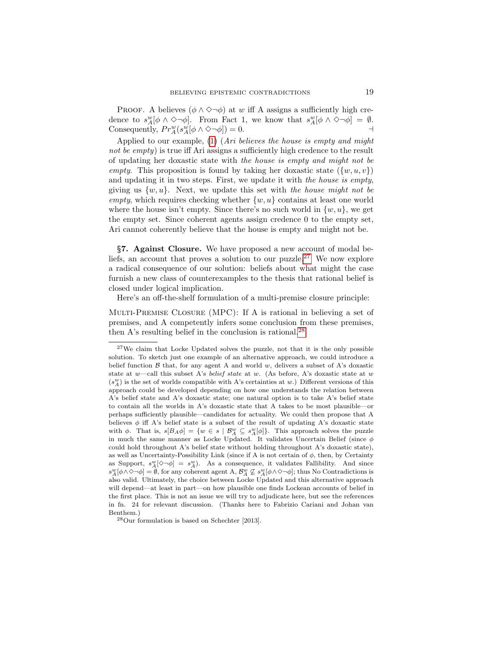**PROOF.** A believes  $(\phi \land \Diamond \neg \phi)$  at w iff A assigns a sufficiently high credence to  $s_A^w[\phi \wedge \Diamond \neg \phi]$ . From Fact 1, we know that  $s_A^w[\phi \wedge \Diamond \neg \phi] = \emptyset$ . Consequently,  $Pr_A^w(s_A^w[\phi \wedge \Diamond \neg \phi]) = 0.$ 

Applied to our example, [\(1\)](#page-0-0) (Ari believes the house is empty and might not be empty) is true iff Ari assigns a sufficiently high credence to the result of updating her doxastic state with the house is empty and might not be empty. This proposition is found by taking her doxastic state  $({w, u, v})$ and updating it in two steps. First, we update it with the house is empty, giving us  $\{w, u\}$ . Next, we update this set with the house might not be empty, which requires checking whether  $\{w, u\}$  contains at least one world where the house isn't empty. Since there's no such world in  $\{w, u\}$ , we get the empty set. Since coherent agents assign credence 0 to the empty set, Ari cannot coherently believe that the house is empty and might not be.

<span id="page-18-0"></span>§7. Against Closure. We have proposed a new account of modal be-liefs, an account that proves a solution to our puzzle.<sup>[27](#page-18-1)</sup> We now explore a radical consequence of our solution: beliefs about what might the case furnish a new class of counterexamples to the thesis that rational belief is closed under logical implication.

Here's an off-the-shelf formulation of a multi-premise closure principle:

Multi-Premise Closure (MPC): If A is rational in believing a set of premises, and A competently infers some conclusion from these premises, then A's resulting belief in the conclusion is rational.<sup>[28](#page-18-2)</sup>

<span id="page-18-2"></span><sup>28</sup>Our formulation is based on Schechter [2013].

<span id="page-18-1"></span><sup>&</sup>lt;sup>27</sup>We claim that Locke Updated solves the puzzle, not that it is the only possible solution. To sketch just one example of an alternative approach, we could introduce a belief function  $\beta$  that, for any agent A and world w, delivers a subset of A's doxastic state at w—call this subset A's belief state at w. (As before, A's doxastic state at w  $(s_A^w)$  is the set of worlds compatible with A's certainties at  $w.)$  Different versions of this approach could be developed depending on how one understands the relation between A's belief state and A's doxastic state; one natural option is to take A's belief state to contain all the worlds in A's doxastic state that A takes to be most plausible—or perhaps sufficiently plausible—candidates for actuality. We could then propose that A believes  $\phi$  iff A's belief state is a subset of the result of updating A's doxastic state with  $\phi$ . That is,  $s[B_A \phi] = \{w \in s \mid \mathcal{B}_A^w \subseteq s_A^w[\phi]\}.$  This approach solves the puzzle in much the same manner as Locke Updated. It validates Uncertain Belief (since  $\phi$ could hold throughout A's belief state without holding throughout A's doxastic state), as well as Uncertainty-Possibility Link (since if A is not certain of  $\phi$ , then, by Certainty as Support,  $s_A^w[\Diamond \neg \phi] = s_A^w$ . As a consequence, it validates Fallibility. And since  $s_A^w[\phi \wedge \Diamond \neg \phi] = \hat{\emptyset}$ , for any coherent agent A,  $\mathcal{B}_A^w \not\subseteq s_A^w[\phi \wedge \Diamond \neg \phi]$ ; thus No Contradictions is also valid. Ultimately, the choice between Locke Updated and this alternative approach will depend—at least in part—on how plausible one finds Lockean accounts of belief in the first place. This is not an issue we will try to adjudicate here, but see the references in fn. 24 for relevant discussion. (Thanks here to Fabrizio Cariani and Johan van Benthem.)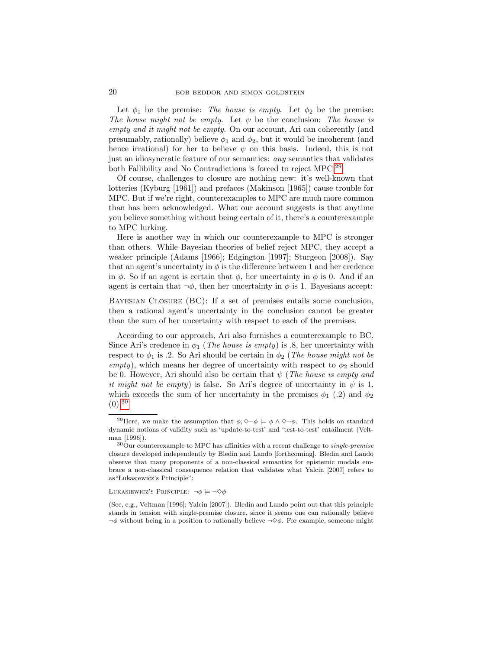Let  $\phi_1$  be the premise: The house is empty. Let  $\phi_2$  be the premise: The house might not be empty. Let  $\psi$  be the conclusion: The house is empty and it might not be empty. On our account, Ari can coherently (and presumably, rationally) believe  $\phi_1$  and  $\phi_2$ , but it would be incoherent (and hence irrational) for her to believe  $\psi$  on this basis. Indeed, this is not just an idiosyncratic feature of our semantics: any semantics that validates both Fallibility and No Contradictions is forced to reject MPC.[29](#page-19-0)

Of course, challenges to closure are nothing new: it's well-known that lotteries (Kyburg [1961]) and prefaces (Makinson [1965]) cause trouble for MPC. But if we're right, counterexamples to MPC are much more common than has been acknowledged. What our account suggests is that anytime you believe something without being certain of it, there's a counterexample to MPC lurking.

Here is another way in which our counterexample to MPC is stronger than others. While Bayesian theories of belief reject MPC, they accept a weaker principle (Adams [1966]; Edgington [1997]; Sturgeon [2008]). Say that an agent's uncertainty in  $\phi$  is the difference between 1 and her credence in  $\phi$ . So if an agent is certain that  $\phi$ , her uncertainty in  $\phi$  is 0. And if an agent is certain that  $\neg \phi$ , then her uncertainty in  $\phi$  is 1. Bayesians accept:

Bayesian Closure (BC): If a set of premises entails some conclusion, then a rational agent's uncertainty in the conclusion cannot be greater than the sum of her uncertainty with respect to each of the premises.

According to our approach, Ari also furnishes a counterexample to BC. Since Ari's credence in  $\phi_1$  (*The house is empty*) is .8, her uncertainty with respect to  $\phi_1$  is .2. So Ari should be certain in  $\phi_2$  (The house might not be empty), which means her degree of uncertainty with respect to  $\phi_2$  should be 0. However, Ari should also be certain that  $\psi$  (*The house is empty and* it might not be empty) is false. So Ari's degree of uncertainty in  $\psi$  is 1, which exceeds the sum of her uncertainty in the premises  $\phi_1$  (.2) and  $\phi_2$  $(0).^{30}$  $(0).^{30}$  $(0).^{30}$ 

LUKASIEWICZ'S PRINCIPLE:  $\neg \phi \models \neg \Diamond \phi$ 

(See, e.g., Veltman [1996]; Yalcin [2007]). Bledin and Lando point out that this principle stands in tension with single-premise closure, since it seems one can rationally believe  $\neg \phi$  without being in a position to rationally believe  $\neg \Diamond \phi$ . For example, someone might

<span id="page-19-0"></span><sup>&</sup>lt;sup>29</sup>Here, we make the assumption that  $\phi$ ;  $\Diamond \neg \phi \models \phi \land \Diamond \neg \phi$ . This holds on standard dynamic notions of validity such as 'update-to-test' and 'test-to-test' entailment (Veltman [1996]).

<span id="page-19-1"></span> $\rm ^{30}Our$  counterexample to MPC has affinities with a recent challenge to  $single\text{-}premise$ closure developed independently by Bledin and Lando [forthcoming]. Bledin and Lando observe that many proponents of a non-classical semantics for epistemic modals embrace a non-classical consequence relation that validates what Yalcin [2007] refers to as" Lukasiewicz's Principle":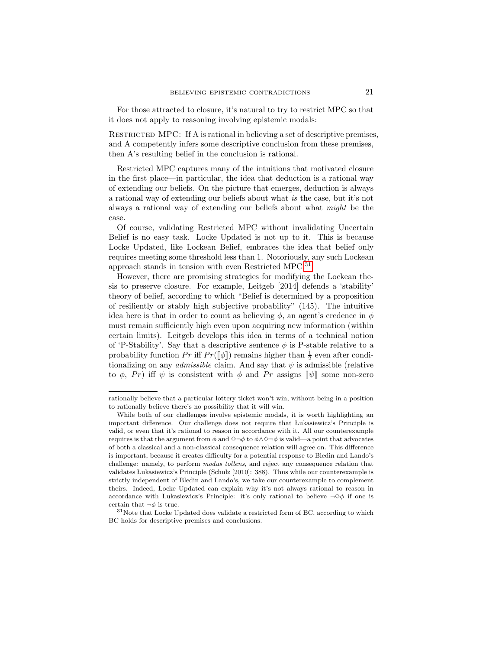For those attracted to closure, it's natural to try to restrict MPC so that it does not apply to reasoning involving epistemic modals:

RESTRICTED MPC: If A is rational in believing a set of descriptive premises, and A competently infers some descriptive conclusion from these premises, then A's resulting belief in the conclusion is rational.

Restricted MPC captures many of the intuitions that motivated closure in the first place—in particular, the idea that deduction is a rational way of extending our beliefs. On the picture that emerges, deduction is always a rational way of extending our beliefs about what is the case, but it's not always a rational way of extending our beliefs about what might be the case.

Of course, validating Restricted MPC without invalidating Uncertain Belief is no easy task. Locke Updated is not up to it. This is because Locke Updated, like Lockean Belief, embraces the idea that belief only requires meeting some threshold less than 1. Notoriously, any such Lockean approach stands in tension with even Restricted MPC.[31](#page-20-0)

However, there are promising strategies for modifying the Lockean thesis to preserve closure. For example, Leitgeb [2014] defends a 'stability' theory of belief, according to which "Belief is determined by a proposition of resiliently or stably high subjective probability" (145). The intuitive idea here is that in order to count as believing  $\phi$ , an agent's credence in  $\phi$ must remain sufficiently high even upon acquiring new information (within certain limits). Leitgeb develops this idea in terms of a technical notion of 'P-Stability'. Say that a descriptive sentence  $\phi$  is P-stable relative to a probability function  $Pr$  iff  $Pr([\![\phi]\!])$  remains higher than  $\frac{1}{2}$  even after conditionalizing on any *admissible* elaint And say that  $\psi$  is admissible (relative tionalizing on any *admissible* claim. And say that  $\psi$  is admissible (relative to  $\phi$ , Pr) iff  $\psi$  is consistent with  $\phi$  and Pr assigns  $\llbracket \psi \rrbracket$  some non-zero

rationally believe that a particular lottery ticket won't win, without being in a position to rationally believe there's no possibility that it will win.

While both of our challenges involve epistemic modals, it is worth highlighting an important difference. Our challenge does not require that Lukasiewicz's Principle is valid, or even that it's rational to reason in accordance with it. All our counterexample requires is that the argument from  $\phi$  and  $\diamond \neg \phi$  to  $\phi \land \diamond \neg \phi$  is valid—a point that advocates of both a classical and a non-classical consequence relation will agree on. This difference is important, because it creates difficulty for a potential response to Bledin and Lando's challenge: namely, to perform modus tollens, and reject any consequence relation that validates Lukasiewicz's Principle (Schulz [2010]: 388). Thus while our counterexample is strictly independent of Bledin and Lando's, we take our counterexample to complement theirs. Indeed, Locke Updated can explain why it's not always rational to reason in accordance with Lukasiewicz's Principle: it's only rational to believe  $\neg \Diamond \phi$  if one is certain that  $\neg \phi$  is true.

<span id="page-20-0"></span> $31$ Note that Locke Updated does validate a restricted form of BC, according to which BC holds for descriptive premises and conclusions.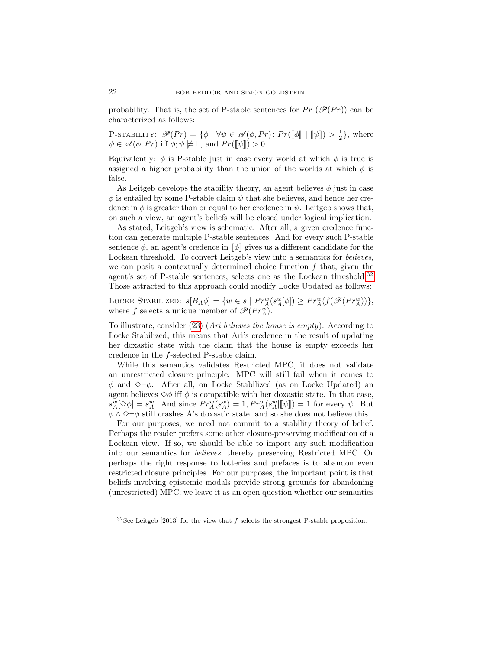probability. That is, the set of P-stable sentences for  $Pr(\mathscr{P}(Pr))$  can be characterized as follows:

P-STABILITY:  $\mathcal{P}(Pr) = \{\phi \mid \forall \psi \in \mathcal{A}(\phi, Pr) : Pr([\![\phi]\!] \mid [\![\psi]\!]) > \frac{1}{2}\},\$  where  $\psi \in \mathscr{A}(\phi, Pr)$  iff  $\phi$ ;  $\psi \not\models \perp$ , and  $Pr([\![\psi]\!]) > 0$ .

Equivalently:  $\phi$  is P-stable just in case every world at which  $\phi$  is true is assigned a higher probability than the union of the worlds at which  $\phi$  is false.

As Leitgeb develops the stability theory, an agent believes  $\phi$  just in case  $\phi$  is entailed by some P-stable claim  $\psi$  that she believes, and hence her credence in  $\phi$  is greater than or equal to her credence in  $\psi$ . Leitgeb shows that, on such a view, an agent's beliefs will be closed under logical implication.

As stated, Leitgeb's view is schematic. After all, a given credence function can generate multiple P-stable sentences. And for every such P-stable sentence  $\phi$ , an agent's credence in  $\llbracket \phi \rrbracket$  gives us a different candidate for the Lockean threshold. To convert Leitgeb's view into a semantics for *believes*, we can posit a contextually determined choice function  $f$  that, given the agent's set of P-stable sentences, selects one as the Lockean threshold.<sup>[32](#page-21-0)</sup> Those attracted to this approach could modify Locke Updated as follows:

LOCKE STABILIZED:  $s[B_A \phi] = \{w \in s \mid Pr_A^w(s_A^w[\phi]) \ge Pr_A^w(f(\mathcal{P}(Pr_A^w)))\},\$ where f selects a unique member of  $\mathscr{P}(Pr_A^w)$ .

To illustrate, consider [\(23\)](#page-12-2) (Ari believes the house is empty). According to Locke Stabilized, this means that Ari's credence in the result of updating her doxastic state with the claim that the house is empty exceeds her credence in the f-selected P-stable claim.

While this semantics validates Restricted MPC, it does not validate an unrestricted closure principle: MPC will still fail when it comes to  $\phi$  and  $\Diamond \neg \phi$ . After all, on Locke Stabilized (as on Locke Updated) and agent believes  $\diamond \phi$  iff  $\phi$  is compatible with her doxastic state. In that case,  $s_{\mathcal{A}}^w[\diamond \phi] = s_{\mathcal{A}}^w$ . And since  $Pr_{\mathcal{A}}^w(s_{\mathcal{A}}^w) = 1, Pr_{\mathcal{A}}^w(s_{\mathcal{A}}^w[\llbracket \psi \rrbracket) = 1$  for every  $\psi$ . But  $\phi \wedge \Diamond \neg \phi$  still crashes A's doxastic state, and so she does not believe this.

For our purposes, we need not commit to a stability theory of belief. Perhaps the reader prefers some other closure-preserving modification of a Lockean view. If so, we should be able to import any such modification into our semantics for believes, thereby preserving Restricted MPC. Or perhaps the right response to lotteries and prefaces is to abandon even restricted closure principles. For our purposes, the important point is that beliefs involving epistemic modals provide strong grounds for abandoning (unrestricted) MPC; we leave it as an open question whether our semantics

<span id="page-21-0"></span> $32$ See Leitgeb [2013] for the view that f selects the strongest P-stable proposition.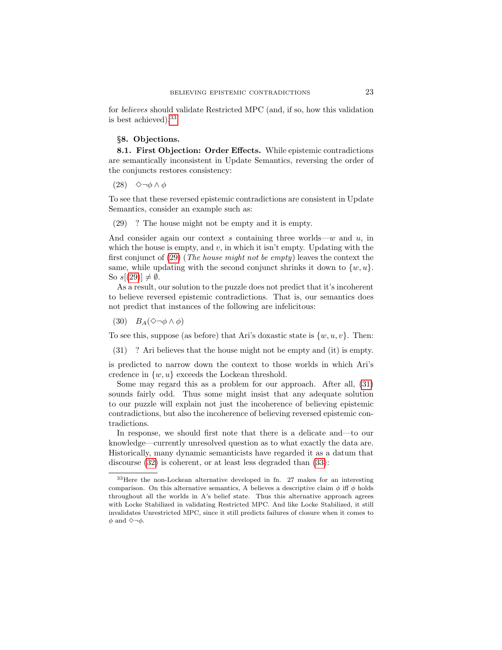for believes should validate Restricted MPC (and, if so, how this validation is best achieved).[33](#page-22-1)

# <span id="page-22-0"></span>§8. Objections.

8.1. First Objection: Order Effects. While epistemic contradictions are semantically inconsistent in Update Semantics, reversing the order of the conjuncts restores consistency:

(28)  $\Diamond \neg \phi \land \phi$ 

To see that these reversed epistemic contradictions are consistent in Update Semantics, consider an example such as:

<span id="page-22-2"></span>(29) ? The house might not be empty and it is empty.

And consider again our context s containing three worlds—w and  $u$ , in which the house is empty, and  $v$ , in which it isn't empty. Updating with the first conjunct of  $(29)$  (*The house might not be empty*) leaves the context the same, while updating with the second conjunct shrinks it down to  $\{w, u\}$ . So  $s[(29)] \neq \emptyset$  $s[(29)] \neq \emptyset$  $s[(29)] \neq \emptyset$ .

As a result, our solution to the puzzle does not predict that it's incoherent to believe reversed epistemic contradictions. That is, our semantics does not predict that instances of the following are infelicitous:

<span id="page-22-4"></span>(30)  $B_A(\Diamond \neg \phi \land \phi)$ 

To see this, suppose (as before) that Ari's doxastic state is  $\{w, u, v\}$ . Then:

<span id="page-22-3"></span>(31) ? Ari believes that the house might not be empty and (it) is empty.

is predicted to narrow down the context to those worlds in which Ari's credence in  $\{w, u\}$  exceeds the Lockean threshold.

Some may regard this as a problem for our approach. After all, [\(31\)](#page-22-3) sounds fairly odd. Thus some might insist that any adequate solution to our puzzle will explain not just the incoherence of believing epistemic contradictions, but also the incoherence of believing reversed epistemic contradictions.

In response, we should first note that there is a delicate and—to our knowledge—currently unresolved question as to what exactly the data are. Historically, many dynamic semanticists have regarded it as a datum that discourse [\(32\)](#page-23-0) is coherent, or at least less degraded than [\(33\)](#page-23-1):

<span id="page-22-1"></span><sup>33</sup>Here the non-Lockean alternative developed in fn. 27 makes for an interesting comparison. On this alternative semantics, A believes a descriptive claim  $\phi$  iff  $\phi$  holds throughout all the worlds in A's belief state. Thus this alternative approach agrees with Locke Stabilized in validating Restricted MPC. And like Locke Stabilized, it still invalidates Unrestricted MPC, since it still predicts failures of closure when it comes to  $\phi$  and  $\Diamond \neg \phi$ .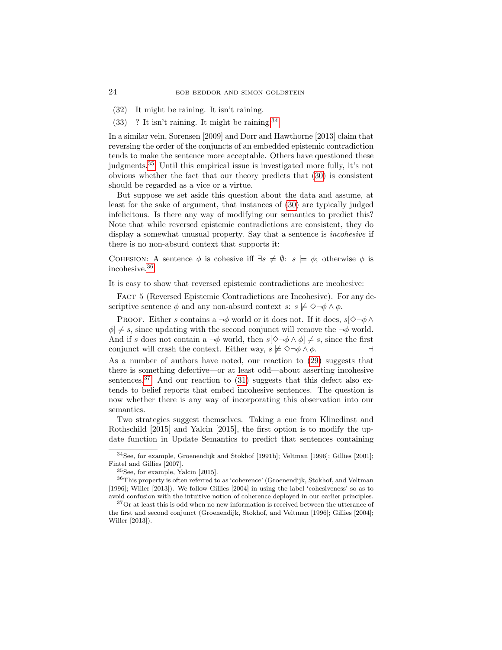- <span id="page-23-0"></span>(32) It might be raining. It isn't raining.
- <span id="page-23-1"></span> $(33)$  ? It isn't raining. It might be raining.<sup>[34](#page-23-2)</sup>

In a similar vein, Sorensen [2009] and Dorr and Hawthorne [2013] claim that reversing the order of the conjuncts of an embedded epistemic contradiction tends to make the sentence more acceptable. Others have questioned these judgments.[35](#page-23-3) Until this empirical issue is investigated more fully, it's not obvious whether the fact that our theory predicts that [\(30\)](#page-22-4) is consistent should be regarded as a vice or a virtue.

But suppose we set aside this question about the data and assume, at least for the sake of argument, that instances of [\(30\)](#page-22-4) are typically judged infelicitous. Is there any way of modifying our semantics to predict this? Note that while reversed epistemic contradictions are consistent, they do display a somewhat unusual property. Say that a sentence is *incohesive* if there is no non-absurd context that supports it:

COHESION: A sentence  $\phi$  is cohesive iff  $\exists s \neq \emptyset$ :  $s \models \phi$ ; otherwise  $\phi$  is incohesive.[36](#page-23-4)

It is easy to show that reversed epistemic contradictions are incohesive:

FACT 5 (Reversed Epistemic Contradictions are Incohesive). For any descriptive sentence  $\phi$  and any non-absurd context  $s: s \not\models \Diamond \neg \phi \land \phi$ .

PROOF. Either s contains a  $\neg \phi$  world or it does not. If it does,  $s[\Diamond \neg \phi \land \phi]$  $\phi$   $\neq$  s, since updating with the second conjunct will remove the  $\neg \phi$  world. And if s does not contain a  $\neg \phi$  world, then  $s[\Diamond \neg \phi \land \phi] \neq s$ , since the first conjunct will crash the context. Either way,  $s \not\models \Diamond \neg \phi \land \phi$ .

As a number of authors have noted, our reaction to [\(29\)](#page-22-2) suggests that there is something defective—or at least odd—about asserting incohesive sentences.<sup>[37](#page-23-5)</sup> And our reaction to  $(31)$  suggests that this defect also extends to belief reports that embed incohesive sentences. The question is now whether there is any way of incorporating this observation into our semantics.

Two strategies suggest themselves. Taking a cue from Klinedinst and Rothschild [2015] and Yalcin [2015], the first option is to modify the update function in Update Semantics to predict that sentences containing

<span id="page-23-2"></span><sup>34</sup>See, for example, Groenendijk and Stokhof [1991b]; Veltman [1996]; Gillies [2001]; Fintel and Gillies [2007].

<span id="page-23-4"></span><span id="page-23-3"></span><sup>35</sup>See, for example, Yalcin [2015].

 $^{36}\mathrm{This}$  property is often referred to as 'coherence' (Groenendijk, Stokhof, and Veltman [1996]; Willer [2013]). We follow Gillies [2004] in using the label 'cohesiveness' so as to avoid confusion with the intuitive notion of coherence deployed in our earlier principles.

<span id="page-23-5"></span><sup>37</sup>Or at least this is odd when no new information is received between the utterance of the first and second conjunct (Groenendijk, Stokhof, and Veltman [1996]; Gillies [2004]; Willer [2013]).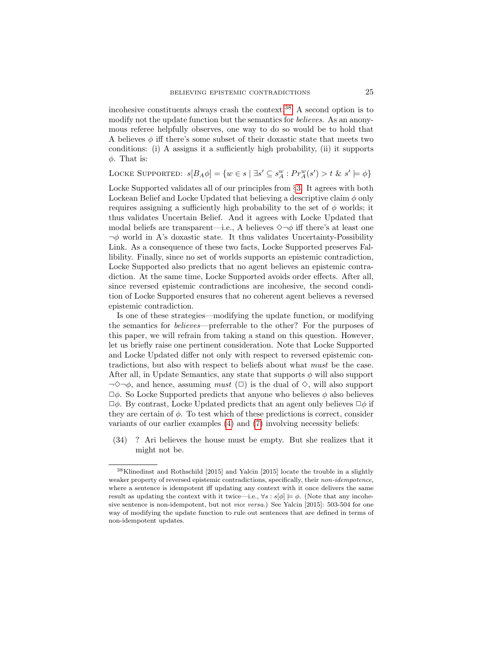incohesive constituents always crash the context.[38](#page-24-0) A second option is to modify not the update function but the semantics for believes. As an anonymous referee helpfully observes, one way to do so would be to hold that A believes  $\phi$  iff there's some subset of their doxastic state that meets two conditions: (i) A assigns it a sufficiently high probability, (ii) it supports  $\phi$ . That is:

LOCKE SUPPORTED:  $s[B_A \phi] = \{w \in s \mid \exists s' \subseteq s_A^w : Pr_A^w(s') > t \& s' \models \phi\}$ 

Locke Supported validates all of our principles from §[3.](#page-2-0) It agrees with both Lockean Belief and Locke Updated that believing a descriptive claim  $\phi$  only requires assigning a sufficiently high probability to the set of  $\phi$  worlds; it thus validates Uncertain Belief. And it agrees with Locke Updated that modal beliefs are transparent—i.e., A believes  $\diamond \neg \phi$  iff there's at least one  $\neg \phi$  world in A's doxastic state. It thus validates Uncertainty-Possibility Link. As a consequence of these two facts, Locke Supported preserves Fallibility. Finally, since no set of worlds supports an epistemic contradiction, Locke Supported also predicts that no agent believes an epistemic contradiction. At the same time, Locke Supported avoids order effects. After all, since reversed epistemic contradictions are incohesive, the second condition of Locke Supported ensures that no coherent agent believes a reversed epistemic contradiction.

Is one of these strategies—modifying the update function, or modifying the semantics for believes—preferrable to the other? For the purposes of this paper, we will refrain from taking a stand on this question. However, let us briefly raise one pertinent consideration. Note that Locke Supported and Locke Updated differ not only with respect to reversed epistemic contradictions, but also with respect to beliefs about what must be the case. After all, in Update Semantics, any state that supports  $\phi$  will also support  $\neg \Diamond \neg \phi$ , and hence, assuming *must* ( $\Box$ ) is the dual of  $\diamond$ , will also support  $\Box \phi$ . So Locke Supported predicts that anyone who believes  $\phi$  also believes  $\Box \phi$ . By contrast, Locke Updated predicts that an agent only believes  $\Box \phi$  if they are certain of  $\phi$ . To test which of these predictions is correct, consider variants of our earlier examples [\(4\)](#page-3-1) and [\(7\)](#page-4-1) involving necessity beliefs:

(34) ? Ari believes the house must be empty. But she realizes that it might not be.

<span id="page-24-0"></span><sup>38</sup>Klinedinst and Rothschild [2015] and Yalcin [2015] locate the trouble in a slightly weaker property of reversed epistemic contradictions, specifically, their *non-idempotence*, where a sentence is idempotent iff updating any context with it once delivers the same result as updating the context with it twice—i.e.,  $\forall s : s[\phi] \models \phi$ . (Note that any incohesive sentence is non-idempotent, but not vice versa.) See Yalcin [2015]: 503-504 for one way of modifying the update function to rule out sentences that are defined in terms of non-idempotent updates.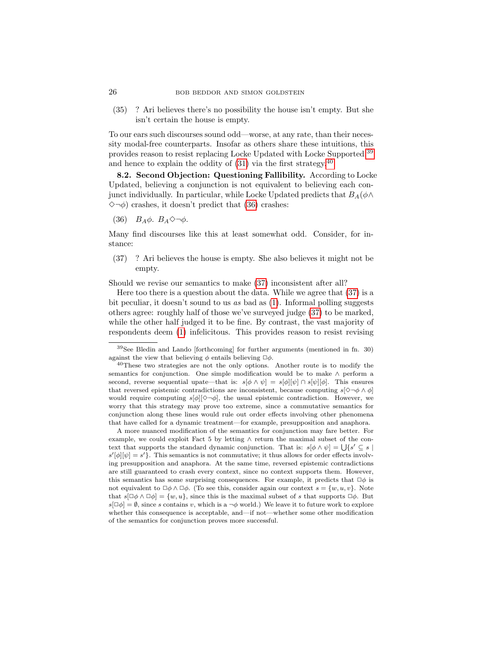(35) ? Ari believes there's no possibility the house isn't empty. But she isn't certain the house is empty.

To our ears such discourses sound odd—worse, at any rate, than their necessity modal-free counterparts. Insofar as others share these intuitions, this provides reason to resist replacing Locke Updated with Locke Supported,<sup>[39](#page-25-0)</sup> and hence to explain the oddity of  $(31)$  via the first strategy.<sup>[40](#page-25-1)</sup>

8.2. Second Objection: Questioning Fallibility. According to Locke Updated, believing a conjunction is not equivalent to believing each conjunct individually. In particular, while Locke Updated predicts that  $B_A(\phi \wedge$  $\Diamond \neg \phi$ ) crashes, it doesn't predict that [\(36\)](#page-25-2) crashes:

<span id="page-25-2"></span>(36)  $B_A\phi$ .  $B_A\Diamond\neg\phi$ .

Many find discourses like this at least somewhat odd. Consider, for instance:

<span id="page-25-3"></span>(37) ? Ari believes the house is empty. She also believes it might not be empty.

Should we revise our semantics to make [\(37\)](#page-25-3) inconsistent after all?

Here too there is a question about the data. While we agree that  $(37)$  is a bit peculiar, it doesn't sound to us as bad as [\(1\)](#page-0-0). Informal polling suggests others agree: roughly half of those we've surveyed judge [\(37\)](#page-25-3) to be marked, while the other half judged it to be fine. By contrast, the vast majority of respondents deem [\(1\)](#page-0-0) infelicitous. This provides reason to resist revising

<span id="page-25-0"></span><sup>39</sup>See Bledin and Lando [forthcoming] for further arguments (mentioned in fn. 30) against the view that believing  $\phi$  entails believing  $\Box \phi$ .

<span id="page-25-1"></span><sup>&</sup>lt;sup>40</sup>These two strategies are not the only options. Another route is to modify the semantics for conjunction. One simple modification would be to make  $\land$  perform a second, reverse sequential upate—that is:  $s[\phi \wedge \psi] = s[\phi][\psi] \cap s[\psi][\phi]$ . This ensures that reversed epistemic contradictions are inconsistent, because computing  $s[\Diamond \neg \phi \land \phi]$ would require computing  $s[\phi] [\Diamond \neg \phi]$ , the usual epistemic contradiction. However, we worry that this strategy may prove too extreme, since a commutative semantics for conjunction along these lines would rule out order effects involving other phenomena that have called for a dynamic treatment—for example, presupposition and anaphora.

A more nuanced modification of the semantics for conjunction may fare better. For example, we could exploit Fact 5 by letting  $\land$  return the maximal subset of the context that supports the standard dynamic conjunction. That is:  $s[\phi \wedge \psi] = \bigcup \{s' \subseteq s \mid$  $s'[\phi][\psi] = s'$ . This semantics is not commutative; it thus allows for order effects involving presupposition and anaphora. At the same time, reversed epistemic contradictions are still guaranteed to crash every context, since no context supports them. However, this semantics has some surprising consequences. For example, it predicts that  $\Box \phi$  is not equivalent to  $\Box \phi \land \Box \phi$ . (To see this, consider again our context  $s = \{w, u, v\}$ . Note that  $s[\Box \phi \land \Box \phi] = \{w, u\}$ , since this is the maximal subset of s that supports  $\Box \phi$ . But  $s[\Box \phi] = \emptyset$ , since s contains v, which is a  $\neg \phi$  world.) We leave it to future work to explore whether this consequence is acceptable, and—if not—whether some other modification of the semantics for conjunction proves more successful.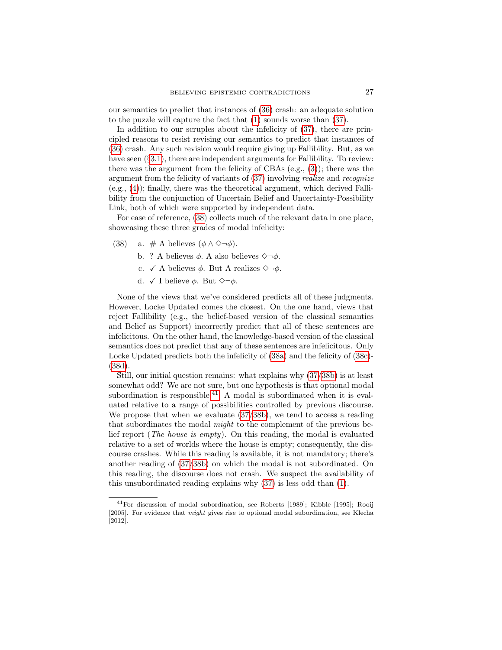our semantics to predict that instances of [\(36\)](#page-25-2) crash: an adequate solution to the puzzle will capture the fact that [\(1\)](#page-0-0) sounds worse than [\(37\)](#page-25-3).

In addition to our scruples about the infelicity of [\(37\)](#page-25-3), there are principled reasons to resist revising our semantics to predict that instances of [\(36\)](#page-25-2) crash. Any such revision would require giving up Fallibility. But, as we have seen  $(\S 3.1)$  $(\S 3.1)$ , there are independent arguments for Fallibility. To review: there was the argument from the felicity of CBAs  $(e.g., (3))$  $(e.g., (3))$  $(e.g., (3))$ ; there was the argument from the felicity of variants of [\(37\)](#page-25-3) involving realize and recognize  $(e.g., (4))$  $(e.g., (4))$  $(e.g., (4))$ ; finally, there was the theoretical argument, which derived Fallibility from the conjunction of Uncertain Belief and Uncertainty-Possibility Link, both of which were supported by independent data.

For ease of reference, [\(38\)](#page-26-0) collects much of the relevant data in one place, showcasing these three grades of modal infelicity:

- <span id="page-26-3"></span><span id="page-26-1"></span><span id="page-26-0"></span>(38) a. # A believes  $(\phi \land \Diamond \neg \phi)$ .
	- b. ? A believes  $\phi$ . A also believes  $\Diamond \neg \phi$ .
	- c.  $\checkmark$  A believes  $\phi$ . But A realizes  $\Diamond \neg \phi$ .
	- d.  $\checkmark$  I believe  $\phi$ . But  $\Diamond \neg \phi$ .

<span id="page-26-2"></span>None of the views that we've considered predicts all of these judgments. However, Locke Updated comes the closest. On the one hand, views that reject Fallibility (e.g., the belief-based version of the classical semantics and Belief as Support) incorrectly predict that all of these sentences are infelicitous. On the other hand, the knowledge-based version of the classical semantics does not predict that any of these sentences are infelicitous. Only Locke Updated predicts both the infelicity of [\(38a\)](#page-26-0) and the felicity of [\(38c\)](#page-26-1)- [\(38d\)](#page-26-2).

Still, our initial question remains: what explains why [\(37/](#page-25-3)[38b\)](#page-26-3) is at least somewhat odd? We are not sure, but one hypothesis is that optional modal subordination is responsible.<sup>[41](#page-26-4)</sup> A modal is subordinated when it is evaluated relative to a range of possibilities controlled by previous discourse. We propose that when we evaluate [\(37/](#page-25-3)[38b\)](#page-26-3), we tend to access a reading that subordinates the modal might to the complement of the previous belief report (The house is empty). On this reading, the modal is evaluated relative to a set of worlds where the house is empty; consequently, the discourse crashes. While this reading is available, it is not mandatory; there's another reading of [\(37/](#page-25-3)[38b\)](#page-26-3) on which the modal is not subordinated. On this reading, the discourse does not crash. We suspect the availability of this unsubordinated reading explains why [\(37\)](#page-25-3) is less odd than [\(1\)](#page-0-0).

<span id="page-26-4"></span><sup>41</sup>For discussion of modal subordination, see Roberts [1989]; Kibble [1995]; Rooij [2005]. For evidence that might gives rise to optional modal subordination, see Klecha [2012].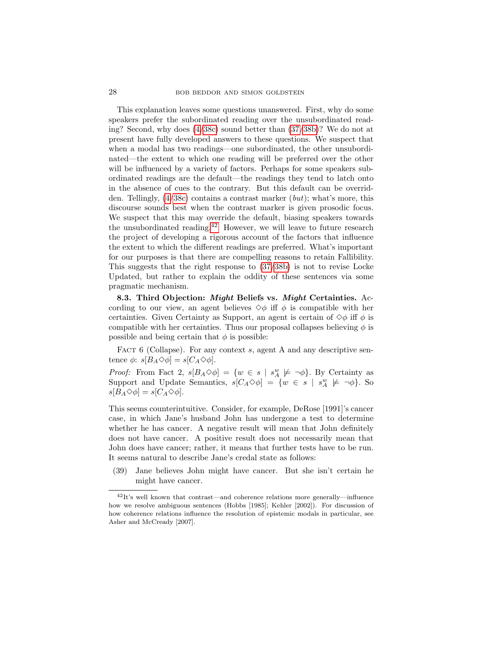This explanation leaves some questions unanswered. First, why do some speakers prefer the subordinated reading over the unsubordinated reading? Second, why does [\(4/](#page-3-1)[38c\)](#page-26-1) sound better than [\(37/](#page-25-3)[38b\)](#page-26-3)? We do not at present have fully developed answers to these questions. We suspect that when a modal has two readings—one subordinated, the other unsubordinated—the extent to which one reading will be preferred over the other will be influenced by a variety of factors. Perhaps for some speakers subordinated readings are the default—the readings they tend to latch onto in the absence of cues to the contrary. But this default can be overridden. Tellingly,  $(4/38c)$  $(4/38c)$  contains a contrast marker (but); what's more, this discourse sounds best when the contrast marker is given prosodic focus. We suspect that this may override the default, biasing speakers towards the unsubordinated reading.<sup>[42](#page-27-0)</sup> However, we will leave to future research the project of developing a rigorous account of the factors that influence the extent to which the different readings are preferred. What's important for our purposes is that there are compelling reasons to retain Fallibility. This suggests that the right response to [\(37](#page-25-3)[/38b\)](#page-26-3) is not to revise Locke Updated, but rather to explain the oddity of these sentences via some pragmatic mechanism.

8.3. Third Objection: Might Beliefs vs. Might Certainties. According to our view, an agent believes  $\diamondsuit \phi$  iff  $\phi$  is compatible with her certainties. Given Certainty as Support, an agent is certain of  $\diamondsuit \phi$  iff  $\phi$  is compatible with her certainties. Thus our proposal collapses believing  $\phi$  is possible and being certain that  $\phi$  is possible:

FACT 6 (Collapse). For any context s, agent A and any descriptive sentence  $\phi$ :  $s[B_A \Diamond \phi] = s[C_A \Diamond \phi].$ 

*Proof:* From Fact 2,  $s[B_A \diamond \phi] = \{w \in s \mid s_A^w \not\models \neg \phi\}$ . By Certainty as Support and Update Semantics,  $s[C_A \Diamond \phi] = \{w \in s \mid s_A^w \not\models \neg \phi\}$ . So  $s[B_A \Diamond \phi] = s[C_A \Diamond \phi].$ 

This seems counterintuitive. Consider, for example, DeRose [1991]'s cancer case, in which Jane's husband John has undergone a test to determine whether he has cancer. A negative result will mean that John definitely does not have cancer. A positive result does not necessarily mean that John does have cancer; rather, it means that further tests have to be run. It seems natural to describe Jane's credal state as follows:

<span id="page-27-1"></span>(39) Jane believes John might have cancer. But she isn't certain he might have cancer.

<span id="page-27-0"></span> $^{42}\mathrm{It's}$  well known that contrast—and coherence relations more generally—influence how we resolve ambiguous sentences (Hobbs [1985]; Kehler [2002]). For discussion of how coherence relations influence the resolution of epistemic modals in particular, see Asher and McCready [2007].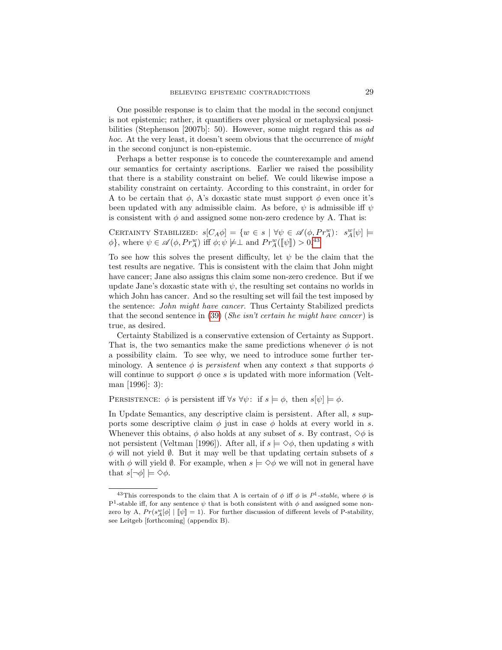One possible response is to claim that the modal in the second conjunct is not epistemic; rather, it quantifiers over physical or metaphysical possibilities (Stephenson [2007b]: 50). However, some might regard this as ad hoc. At the very least, it doesn't seem obvious that the occurrence of might in the second conjunct is non-epistemic.

Perhaps a better response is to concede the counterexample and amend our semantics for certainty ascriptions. Earlier we raised the possibility that there is a stability constraint on belief. We could likewise impose a stability constraint on certainty. According to this constraint, in order for A to be certain that  $\phi$ , A's doxastic state must support  $\phi$  even once it's been updated with any admissible claim. As before,  $\psi$  is admissible iff  $\psi$ is consistent with  $\phi$  and assigned some non-zero credence by A. That is:

CERTAINTY STABILIZED:  $s[C_A \phi] = \{w \in s \mid \forall \psi \in \mathscr{A}(\phi, Pr_A^w): s_A^w[\psi] \models$  $\phi$ }, where  $\psi \in \mathscr{A}(\phi, Pr_A^w)$  iff  $\phi; \psi \not\models \perp$  and  $Pr_A^w([\![\psi]\!]) > 0.43$  $Pr_A^w([\![\psi]\!]) > 0.43$ 

To see how this solves the present difficulty, let  $\psi$  be the claim that the test results are negative. This is consistent with the claim that John might have cancer; Jane also assigns this claim some non-zero credence. But if we update Jane's doxastic state with  $\psi$ , the resulting set contains no worlds in which John has cancer. And so the resulting set will fail the test imposed by the sentence: John might have cancer. Thus Certainty Stabilized predicts that the second sentence in  $(39)$  (*She isn't certain he might have cancer*) is true, as desired.

Certainty Stabilized is a conservative extension of Certainty as Support. That is, the two semantics make the same predictions whenever  $\phi$  is not a possibility claim. To see why, we need to introduce some further terminology. A sentence  $\phi$  is *persistent* when any context s that supports  $\phi$ will continue to support  $\phi$  once s is updated with more information (Veltman [1996]: 3):

PERSISTENCE:  $\phi$  is persistent iff  $\forall s \ \forall \psi$ : if  $s \models \phi$ , then  $s[\psi] \models \phi$ .

In Update Semantics, any descriptive claim is persistent. After all, s supports some descriptive claim  $\phi$  just in case  $\phi$  holds at every world in s. Whenever this obtains,  $\phi$  also holds at any subset of s. By contrast,  $\diamond \phi$  is not persistent (Veltman [1996]). After all, if  $s \models \Diamond \phi$ , then updating s with  $\phi$  will not yield  $\emptyset$ . But it may well be that updating certain subsets of s with  $\phi$  will yield  $\emptyset$ . For example, when  $s \models \Diamond \phi$  we will not in general have that  $s[\neg \phi] \models \Diamond \phi$ .

<span id="page-28-0"></span><sup>&</sup>lt;sup>43</sup>This corresponds to the claim that A is certain of  $\phi$  iff  $\phi$  is  $P^1$ -stable, where  $\phi$  is P<sup>1</sup>-stable iff, for any sentence  $\psi$  that is both consistent with  $\phi$  and assigned some nonzero by A,  $Pr(s_{\text{A}}^{w}[\phi] | \llbracket \psi \rrbracket = 1)$ . For further discussion of different levels of P-stability, see Leitgeb [forthcoming] (appendix B).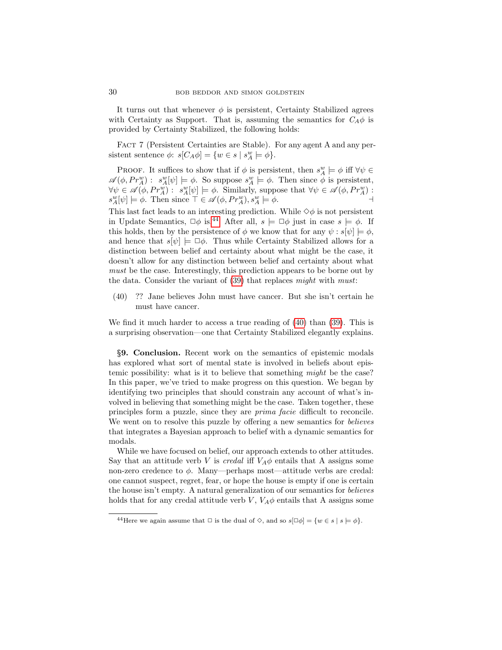It turns out that whenever  $\phi$  is persistent, Certainty Stabilized agrees with Certainty as Support. That is, assuming the semantics for  $C_A \phi$  is provided by Certainty Stabilized, the following holds:

FACT 7 (Persistent Certainties are Stable). For any agent A and any persistent sentence  $\phi$ :  $s[C_A \phi] = \{w \in s \mid s_A^w \models \phi\}.$ 

PROOF. It suffices to show that if  $\phi$  is persistent, then  $s_A^w \models \phi$  iff  $\forall \psi \in \mathcal{S}$  $\mathscr{A}(\phi, Pr_A^w) : s_A^w[\psi] \models \phi$ . So suppose  $s_A^w \models \phi$ . Then since  $\phi$  is persistent,  $\forall \psi \in \mathscr{A}(\phi, Pr_A^w) : s_A^w[\psi] \models \phi$ . Similarly, suppose that  $\forall \psi \in \mathscr{A}(\phi, Pr_A^w)$ :  $s_A^w[\psi] \models \phi$ . Then since  $\top \in \mathscr{A}(\phi, Pr_A^w), s_A^w \models \phi$ .

This last fact leads to an interesting prediction. While  $\diamondsuit \phi$  is not persistent in Update Semantics,  $\Box \phi$  is.<sup>[44](#page-29-0)</sup> After all,  $s \models \Box \phi$  just in case  $s \models \phi$ . If this holds, then by the persistence of  $\phi$  we know that for any  $\psi : s[\psi] \models \phi$ . and hence that  $s[\psi] \models \Box \phi$ . Thus while Certainty Stabilized allows for a distinction between belief and certainty about what might be the case, it doesn't allow for any distinction between belief and certainty about what must be the case. Interestingly, this prediction appears to be borne out by the data. Consider the variant of  $(39)$  that replaces might with must:

<span id="page-29-1"></span>(40) ?? Jane believes John must have cancer. But she isn't certain he must have cancer.

We find it much harder to access a true reading of [\(40\)](#page-29-1) than [\(39\)](#page-27-1). This is a surprising observation—one that Certainty Stabilized elegantly explains.

§9. Conclusion. Recent work on the semantics of epistemic modals has explored what sort of mental state is involved in beliefs about epistemic possibility: what is it to believe that something *might* be the case? In this paper, we've tried to make progress on this question. We began by identifying two principles that should constrain any account of what's involved in believing that something might be the case. Taken together, these principles form a puzzle, since they are prima facie difficult to reconcile. We went on to resolve this puzzle by offering a new semantics for *believes* that integrates a Bayesian approach to belief with a dynamic semantics for modals.

While we have focused on belief, our approach extends to other attitudes. Say that an attitude verb V is *credal* iff  $V_A\phi$  entails that A assigns some non-zero credence to  $\phi$ . Many—perhaps most—attitude verbs are credal: one cannot suspect, regret, fear, or hope the house is empty if one is certain the house isn't empty. A natural generalization of our semantics for believes holds that for any credal attitude verb  $V$ ,  $V_A\phi$  entails that A assigns some

<span id="page-29-0"></span><sup>&</sup>lt;sup>44</sup>Here we again assume that  $\Box$  is the dual of  $\diamond$ , and so  $s[\Box \phi] = \{w \in s \mid s \models \phi\}.$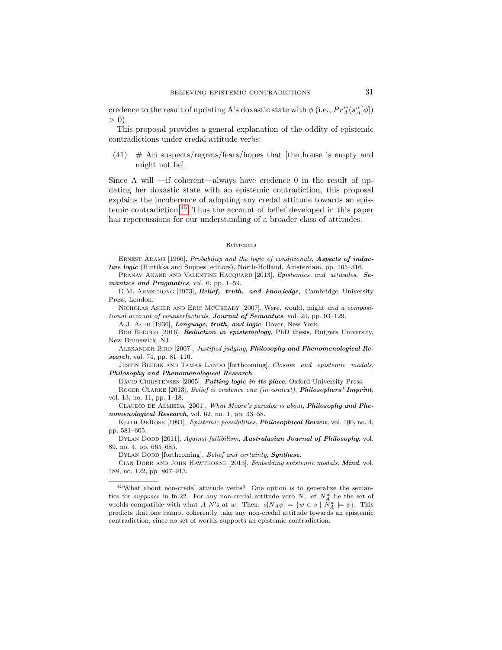credence to the result of updating A's doxastic state with  $\phi$  (i.e.,  $Pr_A^w(s_A^w[\phi])$  $> 0$ ).

This proposal provides a general explanation of the oddity of epistemic contradictions under credal attitude verbs:

 $(41)$  # Ari suspects/regrets/fears/hopes that [the house is empty and might not be].

Since A will —if coherent—always have credence 0 in the result of updating her doxastic state with an epistemic contradiction, this proposal explains the incoherence of adopting any credal attitude towards an epistemic contradiction.[45](#page-30-0) Thus the account of belief developed in this paper has repercussions for our understanding of a broader class of attitudes.

#### References

ERNEST ADAMS [1966], Probability and the logic of conditionals, Aspects of inductive logic (Hintikka and Suppes, editors), North-Holland, Amsterdam, pp. 165–316.

PRANAV ANAND AND VALENTINE HACQUARD [2013], Epistemics and attitudes, Semantics and Pragmatics, vol. 6, pp. 1-59.

D.M. ARMSTRONG [1973], Belief, truth, and knowledge, Cambridge University Press, London.

NICHOLAS ASHER AND ERIC MCCREADY [2007], Were, would, might and a compositional account of counterfactuals, Journal of Semantics, vol. 24, pp. 93–129.

A.J. AYER [1936], Language, truth, and logic, Dover, New York.

BOB BEDDOR [2016], Reduction in epistemology, PhD thesis, Rutgers University, New Brunswick, NJ.

ALEXANDER BIRD [2007], Justified judging, Philosophy and Phenomenological Research, vol. 74, pp. 81-110.

JUSTIN BLEDIN AND TAMAR LANDO [forthcoming], Closure and epistemic modals, Philosophy and Phenomenological Research.

DAVID CHRISTENSEN [2005], *Putting logic in its place*, Oxford University Press.

ROGER CLARKE [2013], Belief is credence one (in context), Philosophers' Imprint, vol. 13, no. 11, pp. 1–18.

CLAUDIO DE ALMEIDA [2001], What Moore's paradox is about, Philosophy and Phenomenological Research, vol. 62, no. 1, pp. 33-58.

KEITH DEROSE [1991], *Epistemic possibilities*, *Philosophical Review*, vol. 100, no. 4, pp. 581–605.

DYLAN DODD [2011], Against fallibilism, Australasian Journal of Philosophy, vol. 89, no. 4, pp. 665–685.

DYLAN DODD [forthcoming], Belief and certainty, Synthese.

CIAN DORR AND JOHN HAWTHORNE [2013], *Embedding epistemic modals*, *Mind*, vol. 488, no. 122, pp. 867–913.

<span id="page-30-0"></span><sup>45</sup>What about non-credal attitude verbs? One option is to generalize the semantics for supposes in fn.22. For any non-credal attitude verb  $N$ , let  $N_A^w$  be the set of worlds compatible with what A N's at w. Then:  $s[N_A\phi] = \{w \in s \mid \tilde{N}_A^w \models \phi\}$ . This predicts that one cannot coherently take any non-credal attitude towards an epistemic contradiction, since no set of worlds supports an epistemic contradiction.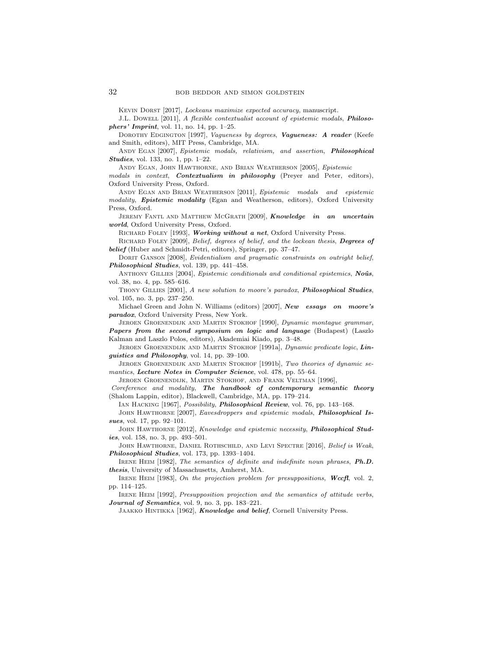Kevin Dorst [2017], Lockeans maximize expected accuracy, manuscript.

J.L. Dowell [2011], A flexible contextualist account of epistemic modals, Philosophers' Imprint, vol. 11, no. 14, pp. 1–25.

DOROTHY EDGINGTON [1997], Vagueness by degrees, Vagueness: A reader (Keefe and Smith, editors), MIT Press, Cambridge, MA.

ANDY EGAN [2007], Epistemic modals, relativism, and assertion, Philosophical Studies, vol. 133, no. 1, pp. 1–22.

ANDY EGAN, JOHN HAWTHORNE, AND BRIAN WEATHERSON [2005], Epistemic

modals in context, Contextualism in philosophy (Preyer and Peter, editors), Oxford University Press, Oxford.

ANDY EGAN AND BRIAN WEATHERSON [2011], Epistemic modals and epistemic modality, Epistemic modality (Egan and Weatherson, editors), Oxford University Press, Oxford.

JEREMY FANTL AND MATTHEW MCGRATH [2009], Knowledge in an uncertain world, Oxford University Press, Oxford.

RICHARD FOLEY [1993], Working without a net, Oxford University Press.

RICHARD FOLEY [2009], Belief, degrees of belief, and the lockean thesis, Degrees of belief (Huber and Schmidt-Petri, editors), Springer, pp. 37–47.

DORIT GANSON [2008], Evidentialism and pragmatic constraints on outright belief, Philosophical Studies, vol. 139, pp. 441-458.

ANTHONY GILLIES [2004], Epistemic conditionals and conditional epistemics, Noûs, vol. 38, no. 4, pp. 585–616.

THONY GILLIES [2001], A new solution to moore's paradox, **Philosophical Studies**, vol. 105, no. 3, pp. 237–250.

Michael Green and John N. Williams (editors) [2007], New essays on moore's paradox, Oxford University Press, New York.

Jeroen Groenendijk and Martin Stokhof [1990], Dynamic montague grammar, Papers from the second symposium on logic and language (Budapest) (Laszlo Kalman and Laszlo Polos, editors), Akademiai Kiado, pp. 3–48.

JEROEN GROENENDIJK AND MARTIN STOKHOF [1991a], Dynamic predicate logic, Linguistics and Philosophy, vol. 14, pp. 39–100.

Jeroen Groenendijk and Martin Stokhof [1991b], Two theories of dynamic semantics, Lecture Notes in Computer Science, vol. 478, pp. 55–64.

Jeroen Groenendijk, Martin Stokhof, and Frank Veltman [1996],

Coreference and modality, The handbook of contemporary semantic theory (Shalom Lappin, editor), Blackwell, Cambridge, MA, pp. 179–214.

IAN HACKING [1967], Possibility, Philosophical Review, vol. 76, pp. 143-168.

JOHN HAWTHORNE [2007], Eavesdroppers and epistemic modals, Philosophical Issues, vol. 17, pp. 92-101.

JOHN HAWTHORNE [2012], Knowledge and epistemic necessity, Philosophical Studies, vol. 158, no. 3, pp. 493–501.

JOHN HAWTHORNE, DANIEL ROTHSCHILD, AND LEVI SPECTRE [2016], Belief is Weak, Philosophical Studies, vol. 173, pp. 1393–1404.

IRENE HEIM [1982], The semantics of definite and indefinite noun phrases, Ph.D. thesis, University of Massachusetts, Amherst, MA.

IRENE HEIM [1983], On the projection problem for presuppositions, Wccfl, vol. 2, pp. 114–125.

IRENE HEIM [1992], *Presupposition projection and the semantics of attitude verbs*, Journal of Semantics, vol. 9, no. 3, pp. 183-221.

JAAKKO HINTIKKA [1962], Knowledge and belief, Cornell University Press.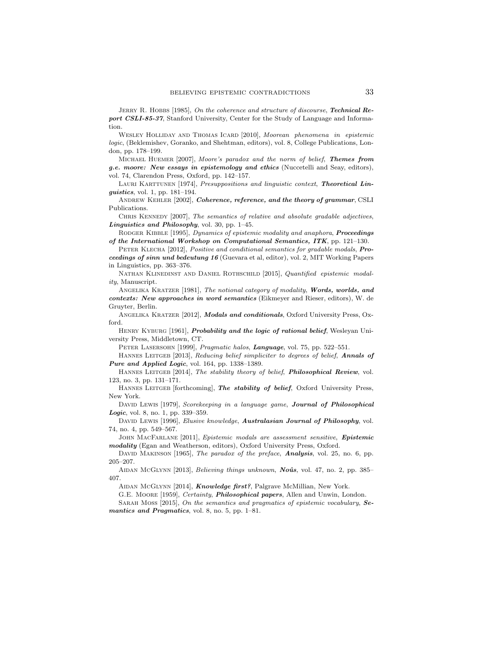JERRY R. HOBBS  $[1985]$ , On the coherence and structure of discourse, Technical Report CSLI-85-37, Stanford University, Center for the Study of Language and Information.

WESLEY HOLLIDAY AND THOMAS ICARD [2010], Moorean phenomena in epistemic logic, (Beklemishev, Goranko, and Shehtman, editors), vol. 8, College Publications, London, pp. 178–199.

MICHAEL HUEMER [2007], Moore's paradox and the norm of belief, Themes from g.e. moore: New essays in epistemology and ethics (Nuccetelli and Seay, editors), vol. 74, Clarendon Press, Oxford, pp. 142–157.

LAURI KARTTUNEN [1974], Presuppositions and linguistic context, Theoretical Linguistics, vol. 1, pp. 181–194.

ANDREW KEHLER [2002], Coherence, reference, and the theory of grammar, CSLI Publications.

CHRIS KENNEDY [2007], The semantics of relative and absolute gradable adjectives, Linguistics and Philosophy, vol. 30, pp. 1–45.

RODGER KIBBLE [1995], Dynamics of epistemic modality and anaphora, Proceedings of the International Workshop on Computational Semantics, ITK, pp. 121–130.

PETER KLECHA [2012], Positive and conditional semantics for gradable modals, Proceedings of sinn und bedeutung 16 (Guevara et al, editor), vol. 2, MIT Working Papers in Linguistics, pp. 363–376.

NATHAN KLINEDINST AND DANIEL ROTHSCHILD [2015], Quantified epistemic modality, Manuscript.

ANGELIKA KRATZER [1981], The notional category of modality, Words, worlds, and contexts: New approaches in word semantics (Eikmeyer and Rieser, editors), W. de Gruyter, Berlin.

ANGELIKA KRATZER [2012], Modals and conditionals, Oxford University Press, Oxford.

HENRY KYBURG [1961], *Probability and the logic of rational belief*, Wesleyan University Press, Middletown, CT.

PETER LASERSOHN [1999], Pragmatic halos, Language, vol. 75, pp. 522-551.

HANNES LEITGEB [2013], Reducing belief simpliciter to degrees of belief, Annals of Pure and Applied Logic, vol. 164, pp. 1338-1389.

HANNES LEITGEB [2014], The stability theory of belief, **Philosophical Review**, vol. 123, no. 3, pp. 131–171.

HANNES LEITGEB [forthcoming], The stability of belief, Oxford University Press, New York.

DAVID LEWIS [1979], Scorekeeping in a language game, Journal of Philosophical Logic, vol. 8, no. 1, pp. 339–359.

DAVID LEWIS [1996], Elusive knowledge, Australasian Journal of Philosophy, vol. 74, no. 4, pp. 549–567.

JOHN MACFARLANE [2011], Epistemic modals are assessment sensitive, Epistemic modality (Egan and Weatherson, editors), Oxford University Press, Oxford.

DAVID MAKINSON [1965], The paradox of the preface, **Analysis**, vol. 25, no. 6, pp. 205–207.

AIDAN MCGLYNN [2013], Believing things unknown, Noûs, vol. 47, no. 2, pp. 385– 407.

AIDAN MCGLYNN [2014], Knowledge first?, Palgrave McMillian, New York.

G.E. Moore [1959], Certainty, **Philosophical papers**, Allen and Unwin, London.

Sarah Moss [2015], On the semantics and pragmatics of epistemic vocabulary, Semantics and Pragmatics, vol. 8, no. 5, pp. 1-81.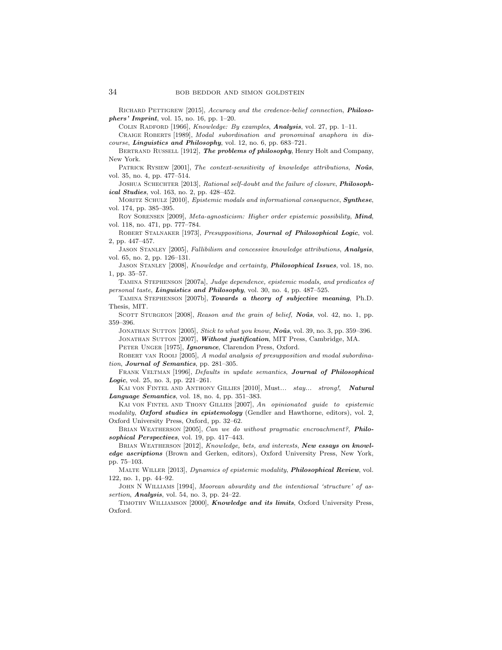RICHARD PETTIGREW [2015], Accuracy and the credence-belief connection, Philosophers' Imprint, vol. 15, no. 16, pp. 1–20.

COLIN RADFORD [1966], Knowledge: By examples, Analysis, vol. 27, pp. 1-11.

CRAIGE ROBERTS [1989], Modal subordination and pronominal anaphora in discourse, Linguistics and Philosophy, vol. 12, no. 6, pp. 683–721.

BERTRAND RUSSELL [1912], The problems of philosophy, Henry Holt and Company, New York.

PATRICK RYSIEW [2001], The context-sensitivity of knowledge attributions, Noûs, vol. 35, no. 4, pp. 477–514.

JOSHUA SCHECHTER [2013], Rational self-doubt and the failure of closure, Philosophical Studies, vol. 163, no. 2, pp. 428-452.

MORITZ SCHULZ [2010], Epistemic modals and informational consequence, **Synthese**, vol. 174, pp. 385–395.

Roy Sorensen [2009], Meta-agnosticism: Higher order epistemic possibility, Mind, vol. 118, no. 471, pp. 777–784.

ROBERT STALNAKER [1973], Presuppositions, Journal of Philosophical Logic, vol. 2, pp. 447–457.

JASON STANLEY [2005], Fallibilism and concessive knowledge attributions, Analysis, vol. 65, no. 2, pp. 126–131.

Jason Stanley [2008], Knowledge and certainty, Philosophical Issues, vol. 18, no. 1, pp. 35–57.

Tamina Stephenson [2007a], Judge dependence, epistemic modals, and predicates of personal taste, Linguistics and Philosophy, vol. 30, no. 4, pp. 487–525.

Tamina Stephenson [2007b], Towards a theory of subjective meaning, Ph.D. Thesis, MIT.

SCOTT STURGEON [2008], Reason and the grain of belief, Noûs, vol. 42, no. 1, pp. 359–396.

JONATHAN SUTTON  $[2005]$ , *Stick to what you know*, *Noûs*, vol. 39, no. 3, pp. 359–396. JONATHAN SUTTON [2007], Without justification, MIT Press, Cambridge, MA. PETER UNGER [1975], Ignorance, Clarendon Press, Oxford.

ROBERT VAN ROOIJ [2005], A modal analysis of presupposition and modal subordination, Journal of Semantics, pp. 281–305.

FRANK VELTMAN [1996], Defaults in update semantics, Journal of Philosophical Logic, vol. 25, no. 3, pp. 221–261.

Kai von Fintel and Anthony Gillies [2010], Must... stay... strong!, Natural Language Semantics, vol. 18, no. 4, pp. 351–383.

KAI VON FINTEL AND THONY GILLIES [2007], An opinionated guide to epistemic modality, Oxford studies in epistemology (Gendler and Hawthorne, editors), vol. 2, Oxford University Press, Oxford, pp. 32–62.

BRIAN WEATHERSON [2005], Can we do without pragmatic encroachment?, Philosophical Perspectives, vol. 19, pp. 417-443.

BRIAN WEATHERSON [2012], Knowledge, bets, and interests, New essays on knowledge ascriptions (Brown and Gerken, editors), Oxford University Press, New York, pp. 75–103.

MALTE WILLER [2013], Dynamics of epistemic modality, Philosophical Review, vol. 122, no. 1, pp. 44–92.

JOHN N WILLIAMS [1994], Moorean absurdity and the intentional 'structure' of assertion, **Analysis**, vol. 54, no. 3, pp.  $24-22$ .

Timothy Williamson [2000], Knowledge and its limits, Oxford University Press, Oxford.